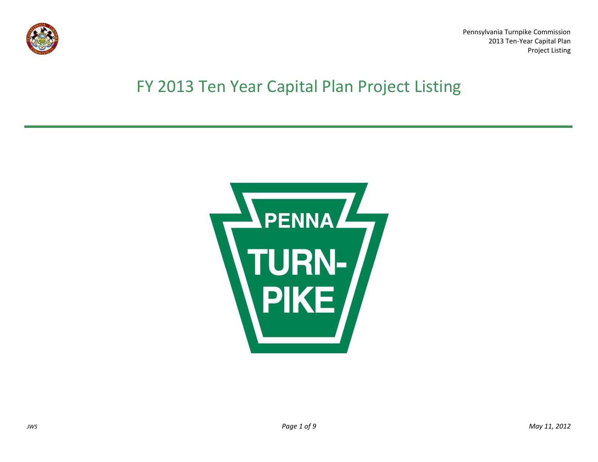

Pennsylvania Turnpike Commission 2013 Ten-Year Capital Plan Project Listing

## FY 2013 Ten Year Capital Plan Project Listing

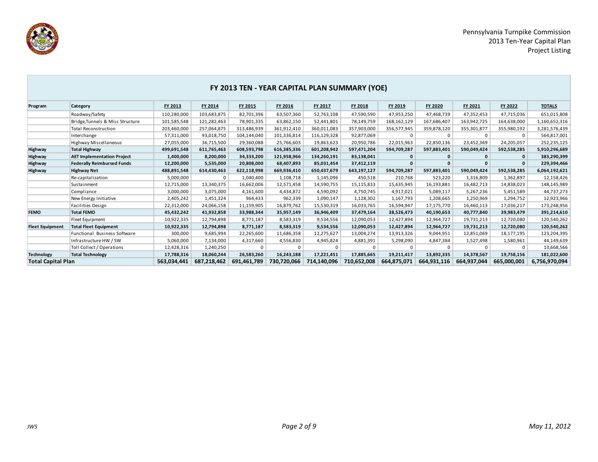

|                           |                                   |             |             | FY 2013 TEN - YEAR CAPITAL PLAN SUMMARY (YOE) |             |             |             |             |                |             |             |               |
|---------------------------|-----------------------------------|-------------|-------------|-----------------------------------------------|-------------|-------------|-------------|-------------|----------------|-------------|-------------|---------------|
| Program                   | Category                          | FY 2013     | FY 2014     | FY 2015                                       | FY 2016     | FY 2017     | FY 2018     | FY 2019     | <b>FY 2020</b> | FY 2021     | FY 2022     | <b>TOTALS</b> |
|                           | Roadway/Safety                    | 110,280,000 | 103,683,875 | 82,701,396                                    | 63,507,360  | 52,763,108  | 47,590,590  | 47,953,250  | 47,468,739     | 47,352,453  | 47,715,036  | 651,015,808   |
|                           | Bridge, Tunnels & Misc Structure  | 101,585,548 | 121,282,463 | 78,901,335                                    | 63,862,150  | 52,441,801  | 78,149,759  | 168,162,129 | 167,686,407    | 163,942,725 | 164,638,000 | 1,160,652,316 |
|                           | <b>Total Reconstruction</b>       | 203,460,000 | 257,064,875 | 313,486,939                                   | 361,912,410 | 360,011,083 | 357,903,000 | 356,577,945 | 359,878,120    | 355,301,877 | 355,980,192 | 3,281,576,439 |
|                           | Interchange                       | 57,311,000  | 93,018,750  | 104,144,040                                   | 101,336,814 | 116,129,328 | 92,877,069  | $\Omega$    | 0              | $\mathbf 0$ | $\Omega$    | 564,817,001   |
|                           | Highway Miscellaneous             | 27,055,000  | 36,715,500  | 29,360,088                                    | 25,766,603  | 19,863,623  | 20,950,786  | 22,015,963  | 22,850,136     | 23,452,369  | 24,205,057  | 252,235,125   |
| Highway                   | <b>Total Highway</b>              | 499,691,548 | 611,765,463 | 608,593,798                                   | 616,385,336 | 601,208,942 | 597,471,204 | 594,709,287 | 597,883,401    | 590,049,424 | 592,538,285 | 5,910,296,689 |
| Highway                   | <b>AET Implementation Project</b> | 1,400,000   | 8,200,000   | 34,333,200                                    | 121,958,966 | 134,260,191 | 83,138,041  |             | $\mathbf{0}$   |             |             | 383,290,399   |
| Highway                   | <b>Federally Reimbursed Funds</b> | 12,200,000  | 5,535,000   | 20,808,000                                    | 68,407,893  | 85,031,454  | 37,412,119  |             | $\mathbf{0}$   |             |             | 229,394,466   |
| Highway                   | <b>Highway Net</b>                | 488,891,548 | 614,430,463 | 622,118,998                                   | 669,936,410 | 650,437,679 | 643,197,127 | 594,709,287 | 597,883,401    | 590,049,424 | 592,538,285 | 6,064,192,621 |
|                           | Re-capitalization                 | 5,000,000   | $\Omega$    | 1,040,400                                     | 1,108,718   | 1,145,096   | 450,518     | 210,768     | 523,220        | 1,316,809   | 1,362,897   | 12,158,426    |
|                           | Sustainment                       | 12,715,000  | 13,340,375  | 16,662,006                                    | 12,571,458  | 14,590,755  | 15,115,833  | 15,635,945  | 16,193,881     | 16,482,713  | 14,838,023  | 148,145,989   |
|                           | Compliance                        | 3,000,000   | 3,075,000   | 4,161,600                                     | 4,434,872   | 4,590,092   | 4,750,745   | 4,917,021   | 5,089,117      | 5,267,236   | 5,451,589   | 44,737,273    |
|                           | New Energy Initiative             | 2,405,242   | 1,451,324   | 964,433                                       | 962,339     | 1,090,147   | 1,128,302   | 1,167,793   | 1,208,665      | 1,250,969   | 1,294,752   | 12,923,966    |
|                           | <b>Facilities Design</b>          | 22,312,000  | 24,066,158  | 11,159,905                                    | 16,879,762  | 15,530,319  | 16,033,765  | 16,594,947  | 17,175,770     | 16,460,113  | 17,036,217  | 173,248,956   |
| <b>FEMO</b>               | <b>Total FEMO</b>                 | 45,432,242  | 41,932,858  | 33,988,344                                    | 35,957,149  | 36,946,409  | 37,479,164  | 38,526,473  | 40,190,653     | 40,777,840  | 39,983,479  | 391,214,610   |
|                           | Fleet Equipment                   | 10,922,335  | 12,794,898  | 8,771,187                                     | 8,583,319   | 9,534,556   | 12,090,053  | 12,427,894  | 12,964,727     | 19,731,213  | 12,720,080  | 120,540,262   |
| <b>Fleet Equipment</b>    | <b>Total Fleet Equipment</b>      | 10,922,335  | 12,794,898  | 8,771,187                                     | 8,583,319   | 9,534,556   | 12,090,053  | 12,427,894  | 12,964,727     | 19,731,213  | 12,720,080  | 120,540,262   |
|                           | Functional Business Software      | 300,000     | 9,685,994   | 22,265,600                                    | 11,686,358  | 12,275,627  | 13,004,274  | 13,913,326  | 9,044,951      | 12,851,069  | 18,177,195  | 123,204,395   |
|                           | Infrastructure HW / SW            | 5,060,000   | 7,134,000   | 4,317,660                                     | 4,556,830   | 4,945,824   | 4,881,391   | 5,298,090   | 4,847,384      | 1,527,498   | 1,580,961   | 44,149,639    |
|                           | Toll Collect / Operations         | 12,428,316  | 1,240,250   | 0                                             | $\Omega$    | $\Omega$    | $\Omega$    | $\Omega$    | $\mathbf 0$    | $\Omega$    | $\Omega$    | 13,668,566    |
| <b>Technology</b>         | <b>Total Technology</b>           | 17,788,316  | 18,060,244  | 26,583,260                                    | 16,243,188  | 17,221,451  | 17,885,665  | 19,211,417  | 13,892,335     | 14,378,567  | 19,758,156  | 181,022,600   |
| <b>Total Capital Plan</b> |                                   | 563,034,441 | 687,218,462 | 691,461,789                                   | 730,720,066 | 714,140,096 | 710,652,008 | 664,875,071 | 664,931,116    | 664,937,044 | 665,000,001 | 6,756,970,094 |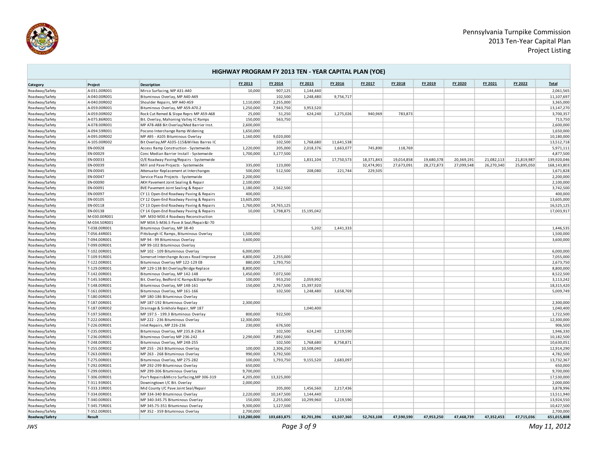

| HIGHWAY PROGRAM FY 2013 TEN - YEAR CAPITAL PLAN (YOE) |                              |                                                                           |                      |                        |                         |            |            |            |            |            |            |            |                          |
|-------------------------------------------------------|------------------------------|---------------------------------------------------------------------------|----------------------|------------------------|-------------------------|------------|------------|------------|------------|------------|------------|------------|--------------------------|
| Category                                              | Project                      | Description                                                               | FY 2013              | FY 2014                | FY 2015                 | FY 2016    | FY 2017    | FY 2018    | FY 2019    | FY 2020    | FY 2021    | FY 2022    | <b>Total</b>             |
| Roadway/Safety                                        | A-031.00R001                 | Mirco Surfacing, MP A31-A40                                               | 10,000               | 907,125                | 1,144,440               |            |            |            |            |            |            |            | 2,061,565                |
| Roadway/Safety                                        | A-040.00R001                 | Bituminous Overlay, MP A40-A49                                            |                      | 102,500                | 1,248,480               | 9,756,717  |            |            |            |            |            |            | 11,107,697               |
| Roadway/Safety                                        | A-040.00R002                 | Shoulder Repairs, MP A40-A59                                              | 1,110,000            | 2,255,000              |                         |            |            |            |            |            |            |            | 3,365,000                |
| Roadway/Safety                                        | A-059.00R001                 | Bituminous Overlay, MP A59-A70.2                                          | 1,250,000            | 7,943,750              | 3,953,520               |            |            |            |            |            |            |            | 13,147,270               |
| Roadway/Safety                                        | A-059.00R002                 | Rock Cut Remed & Slope Reprs MP A59-A68                                   | 25,000               | 51,250                 | 624,240                 | 1,275,026  | 940,969    | 783,873    |            |            |            |            | 3,700,357                |
| Roadway/Safety                                        | A-075.86R001                 | Bit. Overlay, Mahoning Valley IC Ramps                                    | 150,000              | 563,750                |                         |            |            |            |            |            |            |            | 713,750                  |
| Roadway/Safety                                        | A-078.00R001                 | MP A78-A88 Bit Overlay/Med Barrier Inst.                                  | 2,600,000            |                        |                         |            |            |            |            |            |            |            | 2,600,000                |
| Roadway/Safety                                        | A-094.59R001                 | Pocono Interchange Ramp Widening                                          | 1,650,000            |                        |                         |            |            |            |            |            |            |            | 1,650,000                |
| Roadway/Safety                                        | A-095.00R002                 | MP A95 - A105 Bituminous Overlay                                          | 1,160,000            | 9,020,000              |                         |            |            |            |            |            |            |            | 10,180,000               |
| Roadway/Safety                                        | A-105.00R002                 | Bit Overlay, MP A105-115& Wilkes Barres IC                                |                      | 102,500                | 1,768,680               | 11,641,538 |            |            |            |            |            |            | 13,512,718               |
| Roadway/Safety                                        | EN-00028                     | Access Ramp Construction - Systemwide                                     | 1,220,000            | 205,000                | 2,018,376               | 1,663,077  | 745,890    | 118,769    |            |            |            |            | 5,971,111                |
| Roadway/Safety                                        | EN-00029                     | Conc Median Barrier Install - Systemwide                                  | 1,700,000            | 3,177,500              |                         |            |            |            |            |            |            |            | 4,877,500                |
| Roadway/Safety                                        | EN-00033                     | O/E Roadway Paving/Repairs - Systemwide                                   |                      |                        | 1,831,104               | 17,750,573 | 18,371,843 | 19,014,858 | 19,680,378 | 20,369,191 | 21,082,113 | 21,819,987 | 139,920,046              |
| Roadway/Safety                                        | EN-00039                     | Mill and Pave Projects - Systemwide                                       | 335,000              | 123,000                |                         |            | 32,474,901 | 27,673,091 | 28,272,873 | 27,099,548 | 26,270,340 | 25,895,050 | 168,143,803              |
| Roadway/Safety                                        | EN-00045                     | Attenuator Replacement at Interchanges                                    | 500,000              | 512,500                | 208,080                 | 221,744    | 229,505    |            |            |            |            |            | 1,671,828                |
| Roadway/Safety                                        | EN-00047                     | Service Plaza Projects - Systemwide                                       | 2,200,000            |                        |                         |            |            |            |            |            |            |            | 2,200,000                |
| Roadway/Safety                                        | EN-00090                     | AKH Pavement Joint Sealing & Repair                                       | 2,100,000            |                        |                         |            |            |            |            |            |            |            | 2,100,000                |
| Roadway/Safety                                        | EN-00091                     | BVE Pavement Joint Sealing & Repair                                       | 1,180,000            | 2,562,500              |                         |            |            |            |            |            |            |            | 3,742,500                |
| Roadway/Safety                                        | EN-00097                     | CY 11 Open-End Roadway Paving & Repairs                                   | 400,000              |                        |                         |            |            |            |            |            |            |            | 400,000                  |
| Roadway/Safety                                        | EN-00105                     | CY 12 Open-End Roadway Paving & Repairs                                   | 13,605,000           |                        |                         |            |            |            |            |            |            |            | 13,605,000               |
| Roadway/Safety                                        | EN-00118                     | CY 13 Open-End Roadway Paving & Repairs                                   | 1,760,000            | 14,765,125             |                         |            |            |            |            |            |            |            | 16,525,125               |
| Roadway/Safety                                        | EN-00138                     | CY 14 Open-End Roadway Paving & Repairs                                   | 10,000               | 1,798,875              | 15,195,042              |            |            |            |            |            |            |            | 17,003,917               |
| Roadway/Safety                                        | M-030.00R001                 | MP. M30-M30.4 Roadway Reconstruction                                      |                      |                        |                         |            |            |            |            |            |            |            |                          |
| Roadway/Safety                                        | M-034.50R001                 | MP M34.5-M36.5 Pave Jt Seal/Repair&I-70                                   |                      |                        |                         |            |            |            |            |            |            |            |                          |
| Roadway/Safety                                        | T-038.00R001                 | Bituminous Overlay, MP 38-40                                              |                      |                        | 5,202                   | 1,441,333  |            |            |            |            |            |            | 1,446,535                |
| Roadway/Safety                                        | T-056.44R001                 | Pittsburgh IC Ramps, Bituminous Overlay                                   | 1,500,000            |                        |                         |            |            |            |            |            |            |            | 1,500,000                |
| Roadway/Safety                                        | T-094.00R001                 | MP 94 - 99 Bituminous Overlay                                             | 3,600,000            |                        |                         |            |            |            |            |            |            |            | 3,600,000                |
| Roadway/Safety                                        | T-099.00R001                 | MP 99-102 Bituminous Overlay                                              |                      |                        |                         |            |            |            |            |            |            |            |                          |
| Roadway/Safety                                        | T-102.00R001                 | MP 102 - 109 Bituminous Overlay                                           | 6,000,000            |                        |                         |            |            |            |            |            |            |            | 6,000,000                |
| Roadway/Safety                                        | T-109.91R001                 | Somerset Interchange Access Road Improve                                  | 4,800,000            | 2,255,000              |                         |            |            |            |            |            |            |            | 7,055,000                |
| Roadway/Safety                                        | T-122.00R001                 | Bituminous Overlay MP 122-129 EB                                          | 880,000              | 1,793,750              |                         |            |            |            |            |            |            |            | 2,673,750                |
| Roadway/Safety                                        | T-129.00R001                 | MP 129-138 Bit Overlay/Bridge Replace                                     | 8,800,000            |                        |                         |            |            |            |            |            |            |            | 8,800,000                |
| Roadway/Safety                                        | T-142.00R001                 | Bituminous Overlay, MP 142-148                                            | 1,450,000            | 7,072,500              |                         |            |            |            |            |            |            |            | 8,522,500                |
| Roadway/Safety                                        | T-145.50R001                 | Bit. Overlay, Bedford IC Ramps & Slope Rpr                                | 100,000              | 953,250                | 2,059,992               |            |            |            |            |            |            |            | 3,113,242                |
| Roadway/Safety                                        | T-148.00R001                 | Bituminous Overlay, MP 148-161                                            | 150,000              | 2,767,500              | 15,397,920              |            |            |            |            |            |            |            | 18,315,420               |
| Roadway/Safety                                        | T-161.00R001                 | Bituminous Overlay, MP 161-166                                            |                      | 102,500                | 1,248,480               | 3,658,769  |            |            |            |            |            |            | 5,009,749                |
| Roadway/Safety                                        | T-180.00R001                 | MP 180-186 Bituminous Overlay                                             |                      |                        |                         |            |            |            |            |            |            |            |                          |
| Roadway/Safety                                        | T-187.00R001                 | MP 187-192 Bituminous Overlay                                             | 2,300,000            |                        |                         |            |            |            |            |            |            |            | 2,300,000                |
| Roadway/Safety                                        | T-187.00R002                 | Drainage & Sinkhole Repair, MP 187                                        |                      |                        | 1,040,400               |            |            |            |            |            |            |            | 1,040,400                |
| Roadway/Safety                                        | T-197.50R001                 | MP 197.5 - 199.3 Bituminous Overlay                                       | 800,000              | 922,500                |                         |            |            |            |            |            |            |            | 1,722,500                |
| Roadway/Safety                                        | T-222.00R001                 | MP 222 - 236 Bituminous Overlay                                           | 12,300,000           |                        |                         |            |            |            |            |            |            |            | 12,300,000               |
| Roadway/Safety                                        | T-226.00R001                 | Inlet Repairs, MP 226-236                                                 | 230,000              | 676,500                |                         |            |            |            |            |            |            |            | 906,500                  |
| Roadway/Safety                                        | T-235.00R001                 | Bituminous Overlay, MP 235.8-236.4                                        |                      | 102,500                | 624,240                 | 1,219,590  |            |            |            |            |            |            | 1,946,330                |
| Roadway/Safety                                        | T-236.00R001                 | Bituminous Overlay MP 236-242                                             | 2,290,000            | 7,892,500              |                         | 8,758,871  |            |            |            |            |            |            | 10,182,500<br>10,630,051 |
| Roadway/Safety                                        | T-248.00R001                 | Bituminous Overlay, MP 248-255                                            |                      | 102,500                | 1,768,680<br>10,508,040 |            |            |            |            |            |            |            | 12,914,290               |
| Roadway/Safety                                        | T-255.00R002                 | MP 255 - 263 Bituminous Overlay                                           | 100,000              | 2,306,250              |                         |            |            |            |            |            |            |            | 4,782,500                |
| Roadway/Safety                                        | T-263.00R001                 | MP 263 - 268 Bituminous Overlay                                           | 990,000<br>100,000   | 3,792,500<br>1,793,750 | 9,155,520               | 2,683,097  |            |            |            |            |            |            |                          |
| Roadway/Safety                                        | T-275.00R001                 | Bituminous Overlay, MP 275-282<br>MP 292-299 Bituminous Overlay           |                      |                        |                         |            |            |            |            |            |            |            | 13,732,367<br>650,000    |
| Roadway/Safety                                        | T-292.00R001                 |                                                                           | 650,000<br>9,700,000 |                        |                         |            |            |            |            |            |            |            | 9,700,000                |
| Roadway/Safety                                        | T-299.00R001<br>T-306.00R001 | MP 299-306 Bituminous Overlay                                             | 4,205,000            | 13,325,000             |                         |            |            |            |            |            |            |            | 17,530,000               |
| Roadway/Safety                                        | T-311.93R001                 | Pav't Repairs&Micro Surfacing, MP 306-319<br>Downingtown I/C Bit. Overlay | 2,000,000            |                        |                         |            |            |            |            |            |            |            | 2,000,000                |
| Roadway/Safety                                        | T-333.33R001                 | Mid County I/C Pave Joint Seal/Repair                                     |                      | 205,000                | 1,456,560               | 2,217,436  |            |            |            |            |            |            | 3,878,996                |
| Roadway/Safety<br>Roadway/Safety                      | T-334.00R001                 | MP 334-340 Bituminous Overlay                                             | 2,220,000            | 10,147,500             | 1,144,440               |            |            |            |            |            |            |            | 13,511,940               |
| Roadway/Safety                                        | T-340.00R001                 | MP 340-345.75 Bituminous Overlay                                          | 150,000              | 2,255,000              | 10,299,960              | 1,219,590  |            |            |            |            |            |            | 13,924,550               |
| Roadway/Safety                                        | T-345.75R001                 | MP 345.75-351 Bituminous Overlay                                          | 9,300,000            | 1,127,500              |                         |            |            |            |            |            |            |            | 10,427,500               |
| Roadway/Safety                                        | T-352.00R001                 | MP 352 - 359 Bituminous Overlay                                           | 2,700,000            |                        |                         |            |            |            |            |            |            |            | 2,700,000                |
| Roadway/Safety                                        | Result                       |                                                                           | 110.280.000          | 103.683.875            | 82.701.396              | 63.507.360 | 52.763.108 | 47.590.590 | 47.953.250 | 47.468.739 | 47.352.453 | 47.715.036 | 651.015.808              |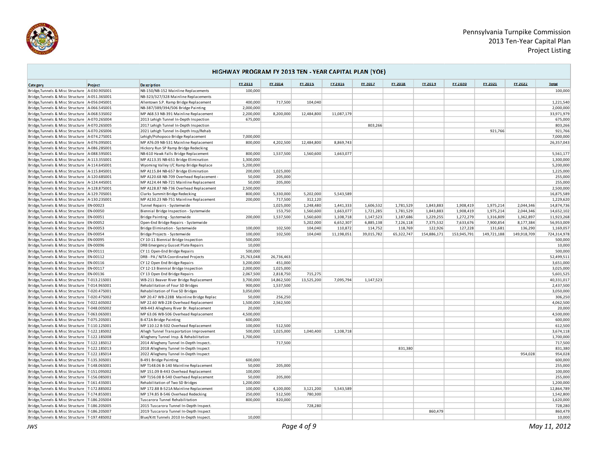

**COL** 

÷,

| HIGHWAY PROGRAM FY 2013 TEN - YEAR CAPITAL PLAN (YOE) |         |                                          |            |            |            |            |            |            |             |             |             |             |              |
|-------------------------------------------------------|---------|------------------------------------------|------------|------------|------------|------------|------------|------------|-------------|-------------|-------------|-------------|--------------|
| Cate gory                                             | Project | <b>De scription</b>                      | FY 2013    | FY 2014    | FY 2015    | FY 2016    | FY 2017    | FY 2018    | FY 2019     | FY 2020     | FY 2021     | FY 2022     | <b>Total</b> |
| Bridge, Tunnels & Misc Structure   A-030.90S001       |         | NB-150/NB-152 Mainline Replacements      | 100,000    |            |            |            |            |            |             |             |             |             | 100,000      |
| Bridge, Tunnels & Misc Structure A-051.36S001         |         | NB-323/327/328 Mainline Replacements     |            |            |            |            |            |            |             |             |             |             |              |
| Bridge, Tunnels & Misc Structure A-056.04S001         |         | Allentown S.P. Ramp Bridge Replacement   | 400,000    | 717,500    | 104,040    |            |            |            |             |             |             |             | 1,221,540    |
| Bridge.Tunnels & Misc Structure A-066.545001          |         | NB-387/389/394/506 Bridge Painting       | 2.000.000  |            |            |            |            |            |             |             |             |             | 2,000,000    |
| Bridge, Tunnels & Misc Structure   A-068.535002       |         | MP A68.53 NB-391 Mainline Replacement    | 2,200,000  | 8,200,000  | 12,484,800 | 11,087,179 |            |            |             |             |             |             | 33,971,979   |
| Bridge, Tunnels & Misc Structure A-070.26S004         |         | 2013 Lehigh Tunnel In-Depth Inspection   | 675,000    |            |            |            |            |            |             |             |             |             | 675,000      |
| Bridge, Tunnels & Misc Structure A-070.26S005         |         | 2017 Lehigh Tunnel In-Depth Inspection   |            |            |            |            | 803,266    |            |             |             |             |             | 803,266      |
| Bridge, Tunnels & Misc Structure A-070.26S006         |         | 2021 Lehigh Tunnel In-Depth Insp/Rehab   |            |            |            |            |            |            |             |             | 921,766     |             | 921,766      |
| Bridge, Tunnels & Misc Structure A-074.275001         |         | Lehigh/Pohopoco Bridge Replacement       | 7,000,000  |            |            |            |            |            |             |             |             |             | 7,000,000    |
| Bridge, Tunnels & Misc Structure A-076.095001         |         | MP A76.09 NB-531 Mainline Replacement    | 800,000    | 4,202,500  | 12,484,800 | 8,869,743  |            |            |             |             |             |             | 26,357,043   |
| Bridge, Tunnels & Misc Structure A-086.285001         |         | Hickory Run SP Ramp Bridge Redecking     |            |            |            |            |            |            |             |             |             |             |              |
| Bridge, Tunnels & Misc Structure   A-088.595001       |         | NB-610 Hawk Falls Bridge Replacement     | 800,000    | 1,537,500  | 1,560,600  | 1,663,077  |            |            |             |             |             |             | 5,561,177    |
| Bridge, Tunnels & Misc Structure   A-113.35S001       |         | MP A113.35 NB-651 Bridge Elimination     | 1,300,000  |            |            |            |            |            |             |             |             |             | 1,300,000    |
| Bridge, Tunnels & Misc Structure   A-114.645001       |         | Wyoming Valley I/C Ramp Bridge Replace   | 5.200.000  |            |            |            |            |            |             |             |             |             | 5.200.000    |
| Bridge, Tunnels & Misc Structure A-115.84S001         |         | MP A115.84 NB-657 Bridge Elimination     | 200,000    | 1,025,000  |            |            |            |            |             |             |             |             | 1,225,000    |
| Bridge, Tunnels & Misc Structure A-120.685001         |         | MP A120.68 NB-709 Overhead Replacement - | 50,000     | 205,000    |            |            |            |            |             |             |             |             | 255,000      |
| Bridge, Tunnels & Misc Structure A-124.445001         |         | MP A124.44 NB-721 Mainline Replacement   | 50,000     | 205,000    |            |            |            |            |             |             |             |             | 255,000      |
| Bridge, Tunnels & Misc Structure   A-128.87S001       |         | MP A128.87 NB-736 Overhead Replacement   | 2,500,000  |            |            |            |            |            |             |             |             |             | 2,500,000    |
| Bridge, Tunnels & Misc Structure A-129.70S001         |         | Clarks Summit Bridge Redecking           | 800,000    | 5,330,000  | 5,202,000  | 5,543,589  |            |            |             |             |             |             | 16,875,589   |
| Bridge, Tunnels & Misc Structure   A-130.235001       |         | MP A130.23 NB-751 Mainline Replacement   | 200,000    | 717,500    | 312.120    |            |            |            |             |             |             |             | 1,229,620    |
| Bridge, Tunnels & Misc Structure EN-00023             |         | Tunnel Repairs - Systemwide              |            | 1,025,000  | 1,248,480  | 1,441,333  | 1.606.532  | 1,781,529  | 1.843.883   | 1,908,419   | 1,975,214   | 2.044.346   | 14,874,736   |
| Bridge, Tunnels & Misc Structure   EN-00050           |         | Biennial Bridge Inspection - Systemwide  |            | 153,750    | 1,560,600  | 1,663,077  | 1,721,285  | 1,781,529  | 1,843,883   | 1,908,419   | 1,975,214   | 2,044,346   | 14,652,102   |
| Bridge, Tunnels & Misc Structure EN-00051             |         | Bridge Painting - Systemwide             | 200.000    | 1,537,500  | 1.560.600  | 1.108.718  | 1.147.523  | 1.187.686  | 1.229.255   | 1,272,279   | 1.316.809   | 1.362.897   | 11.923.268   |
| Bridge, Tunnels & Misc Structure EN-00052             |         | Open-End Bridge Repairs - Systemwide     |            |            | 5,202,000  | 6,652,307  | 6,885,138  | 7,126,118  | 7,375,532   | 7,633,676   | 7,900,854   | 8,177,384   | 56,953,009   |
| Bridge, Tunnels & Misc Structure EN-00053             |         | Bridge Elimination - Systemwide          | 100,000    | 102,500    | 104,040    | 110,872    | 114,752    | 118,769    | 122,926     | 127,228     | 131,681     | 136,290     | 1,169,057    |
| Bridge, Tunnels & Misc Structure EN-00054             |         | Bridge Projects - Systemwide             | 100,000    | 102,500    | 104,040    | 11,198,051 | 39,015,782 | 65,322,747 | 154,886,171 | 153,945,791 | 149,721,188 | 149,918,709 | 724,314,978  |
| Bridge, Tunnels & Misc Structure   EN-00095           |         | CY 10-11 Biennial Bridge Inspection      | 500,000    |            |            |            |            |            |             |             |             |             | 500,000      |
| Bridge, Tunnels & Misc Structure EN-00096             |         | DRB Emergency Gusset Plate Repairs       | 10,000     |            |            |            |            |            |             |             |             |             | 10,000       |
| Bridge, Tunnels & Misc Structure EN-00111             |         | CY 11 Open-End Bridge Repairs            | 500,000    |            |            |            |            |            |             |             |             |             | 500,000      |
| Bridge, Tunnels & Misc Structure EN-00112             |         | DRB - PA / NJTA Coordinated Projects     | 25,763,048 | 26.736.463 |            |            |            |            |             |             |             |             | 52,499,511   |
| Bridge, Tunnels & Misc Structure EN-00116             |         | CY 12 Open End Bridge Repairs            | 3,200,000  | 451,000    |            |            |            |            |             |             |             |             | 3,651,000    |
| Bridge, Tunnels & Misc Structure   EN-00117           |         | CY 12-13 Biennial Bridge Inspection      | 2,000,000  | 1,025,000  |            |            |            |            |             |             |             |             | 3,025,000    |
| Bridge, Tunnels & Misc Structure EN-00136             |         | CY 13 Open End Bridge Repairs            | 2,067,500  | 2,818,750  | 715,275    |            |            |            |             |             |             |             | 5,601,525    |
| Bridge, Tunnels & Misc Structure   T-013.215001       |         | WB-211 Beaver River Bridge Replacement   | 3,700,000  | 14,862,500 | 13,525,200 | 7,095,794  | 1,147,523  |            |             |             |             |             | 40,331,017   |
| Bridge, Tunnels & Misc Structure   T-014.96S001       |         | Rehabilitation of Four SD Bridges        | 900,000    | 1,537,500  |            |            |            |            |             |             |             |             | 2,437,500    |
| Bridge, Tunnels & Misc Structure   T-020.475001       |         | Rehabilitation of Five SD Bridges        | 3,050,000  |            |            |            |            |            |             |             |             |             | 3,050,000    |
| Bridge, Tunnels & Misc Structure   T-020.475002       |         | MP 20.47 WB-228B Mainline Bridge Replac  | 50,000     | 256,250    |            |            |            |            |             |             |             |             | 306,250      |
| Bridge, Tunnels & Misc Structure T-022.60S002         |         | MP 22.60 WB-228 Overhead Replacement     | 1,500,000  | 2,562,500  |            |            |            |            |             |             |             |             | 4,062,500    |
| Bridge, Tunnels & Misc Structure   T-048.00S002       |         | WB-443 Allegheny River Br. Replacement   | 20,000     |            |            |            |            |            |             |             |             |             | 20,000       |
| Bridge, Tunnels & Misc Structure   T-063.06S001       |         | MP 63.06 WB-506 Overhead Replacement     | 4.500.000  |            |            |            |            |            |             |             |             |             | 4,500,000    |
| Bridge, Tunnels & Misc Structure T-075.20S001         |         | B-472A Bridge Painting                   | 600,000    |            |            |            |            |            |             |             |             |             | 600,000      |
| Bridge, Tunnels & Misc Structure   T-110.12S001       |         | MP 110.12 B-502 Overhead Replacement     | 100,000    | 512,500    |            |            |            |            |             |             |             |             | 612,500      |
| Bridge, Tunnels & Misc Structure   T-122.185002       |         | Allegh Tunnel Transportation Improvement | 500,000    | 1,025,000  | 1,040,400  | 1,108,718  |            |            |             |             |             |             | 3,674,118    |
| Bridge, Tunnels & Misc Structure   T-122.185008       |         | Allegheny Tunnel Insp. & Rehabilitation  | 1,700,000  |            |            |            |            |            |             |             |             |             | 1,700,000    |
| Bridge, Tunnels & Misc Structure   T-122.185012       |         | 2014 Allegheny Tunnel In-Depth Inspect   |            | 717,500    |            |            |            |            |             |             |             |             | 717,500      |
| Bridge, Tunnels & Misc Structure   T-122.18S013       |         | 2018 Allegheny Tunnel In-Depth Inspect   |            |            |            |            |            | 831.380    |             |             |             |             | 831,380      |
| Bridge, Tunnels & Misc Structure T-122.18S014         |         | 2022 Allegheny Tunnel In-Depth Inspect   |            |            |            |            |            |            |             |             |             | 954,028     | 954,028      |
| Bridge, Tunnels & Misc Structure   T-135.30S001       |         | B-491 Bridge Painting                    | 600,000    |            |            |            |            |            |             |             |             |             | 600,000      |
| Bridge, Tunnels & Misc Structure   T-148.06S001       |         | MP T148.06 B-140 Mainline Replacement    | 50,000     | 205.000    |            |            |            |            |             |             |             |             | 255,000      |
| Bridge, Tunnels & Misc Structure   T-151.09S002       |         | MP 151.09 B-443 Overhead Replacement     | 100,000    |            |            |            |            |            |             |             |             |             | 100,000      |
| Bridge, Tunnels & Misc Structure   T-156.085001       |         | MP T156.08 B-540 Overhead Replacement    | 50,000     | 205,000    |            |            |            |            |             |             |             |             | 255,000      |
| Bridge, Tunnels & Misc Structure   T-161.43S001       |         | Rehabilitation of Two SD Bridges         | 1,200,000  |            |            |            |            |            |             |             |             |             | 1,200,000    |
| Bridge, Tunnels & Misc Structure   T-172.885002       |         | MP 172.88 B-521A Mainline Replacement    | 100,000    | 4,100,000  | 3,121,200  | 5,543,589  |            |            |             |             |             |             | 12,864,789   |
| Bridge, Tunnels & Misc Structure   T-174.85S001       |         | MP 174.85 B-546 Overhead Redecking       | 250,000    | 512,500    | 780,300    |            |            |            |             |             |             |             | 1,542,800    |
| Bridge, Tunnels & Misc Structure   T-186.20S004       |         | Tuscarora Tunnel Rehabilitation          | 800,000    | 820,000    |            |            |            |            |             |             |             |             | 1,620,000    |
| Bridge, Tunnels & Misc Structure   T-186.20S005       |         | 2015 Tuscarora Tunnel In-Depth Inspect.  |            |            | 728,280    |            |            |            |             |             |             |             | 728,280      |
| Bridge, Tunnels & Misc Structure   T-186.20S007       |         | 2019 Tuscarora Tunnel In-Depth Inspect   |            |            |            |            |            |            | 860.479     |             |             |             | 860,479      |
| Bridge.Tunnels & Misc Structure T-197.48S002          |         | Blue/Kitt Tunnels 2010 In-Depth Inspect. | 10.000     |            |            |            |            |            |             |             |             |             | 10,000       |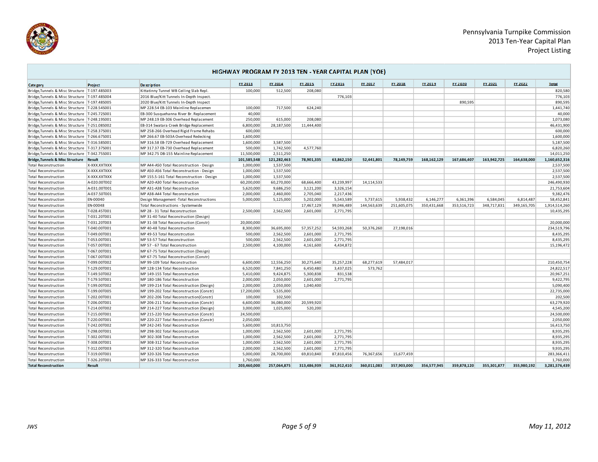

n

|                                                 | HIGHWAY PROGRAM FY 2013 TEN - YEAR CAPITAL PLAN (YOE) |                                            |             |             |             |             |             |                |             |             |                |                |               |  |
|-------------------------------------------------|-------------------------------------------------------|--------------------------------------------|-------------|-------------|-------------|-------------|-------------|----------------|-------------|-------------|----------------|----------------|---------------|--|
| Cate gory                                       | Project                                               | <b>De scription</b>                        | FY 2013     | FY 2014     | FY 2015     | FY 2016     | FY 2017     | <b>FY 2018</b> | FY 2019     | FY 2020     | <b>FY 2021</b> | <b>EY 2022</b> | <b>Total</b>  |  |
| Bridge, Tunnels & Misc Structure   T-197.48S003 |                                                       | Kittatinny Tunnel WB Ceiling Slab Repl     | 100,000     | 512,500     | 208,080     |             |             |                |             |             |                |                | 820,580       |  |
| Bridge, Tunnels & Misc Structure   T-197.48S004 |                                                       | 2016 Blue/Kitt Tunnels In-Depth Inspect.   |             |             |             | 776,103     |             |                |             |             |                |                | 776,103       |  |
| Bridge, Tunnels & Misc Structure   T-197.48S005 |                                                       | 2020 Blue/Kitt Tunnels In-Depth Inspect    |             |             |             |             |             |                |             | 890,595     |                |                | 890,595       |  |
| Bridge, Tunnels & Misc Structure   T-228.54S001 |                                                       | MP 228.54 EB-103 Mainline Replacemen       | 100,000     | 717,500     | 624,240     |             |             |                |             |             |                |                | 1,441,740     |  |
| Bridge, Tunnels & Misc Structure   T-245.72S001 |                                                       | EB-300 Susquehanna River Br. Replacement   | 40,000      |             |             |             |             |                |             |             |                |                | 40,000        |  |
| Bridge, Tunnels & Misc Structure   T-248.195001 |                                                       | MP 248.19 EB-306 Overhead Replacement      | 250,000     | 615,000     | 208,080     |             |             |                |             |             |                |                | 1,073,080     |  |
| Bridge, Tunnels & Misc Structure   T-251.08S002 |                                                       | EB-314 Swatara Creek Bridge Replacement    | 6,800,000   | 28,187,500  | 11,444,400  |             |             |                |             |             |                |                | 46,431,900    |  |
| Bridge, Tunnels & Misc Structure   T-258.375001 |                                                       | MP 258-266 Overhead Rigid Frame Rehabs     | 600,000     |             |             |             |             |                |             |             |                |                | 600,000       |  |
| Bridge, Tunnels & Misc Structure   T-266.67S001 |                                                       | MP 266.67 EB-503A Overhead Redecking       | 1,600,000   |             |             |             |             |                |             |             |                |                | 1,600,000     |  |
| Bridge, Tunnels & Misc Structure   T-316.58S001 |                                                       | MP 316.58 EB-729 Overhead Replacement      | 1,600,000   | 3,587,500   |             |             |             |                |             |             |                |                | 5,187,500     |  |
| Bridge, Tunnels & Misc Structure   T-317.37S001 |                                                       | MP 317.37 EB-730 Overhead Replacement      | 500,000     | 1,742,500   | 4,577,760   |             |             |                |             |             |                |                | 6,820,260     |  |
| Bridge, Tunnels & Misc Structure   T-342.75S001 |                                                       | MP 342.75 DB-155 Mainline Replacement      | 11,500,000  | 2,511,250   |             |             |             |                |             |             |                |                | 14,011,250    |  |
| Bridge, Tunnels & Misc Structure Result         |                                                       |                                            | 101,585,548 | 121,282,463 | 78,901,335  | 63.862.150  | 52.441.801  | 78.149.759     | 168.162.129 | 167,686,407 | 163.942.725    | 164.638.000    | 1,160,652,316 |  |
| <b>Total Reconstruction</b>                     | X-XXX.XXTXXX                                          | MP A44-A50 Total Reconstruction - Design   | 1,000,000   | 1,537,500   |             |             |             |                |             |             |                |                | 2,537,500     |  |
| <b>Total Reconstruction</b>                     | X-XXX.XXTXXX                                          | MP A50-A56 Total Reconstruction - Design   | 1,000,000   | 1,537,500   |             |             |             |                |             |             |                |                | 2,537,500     |  |
| <b>Total Reconstruction</b>                     | X-XXX.XXTXXX                                          | MP 155.5-161 Total Reconstruction - Design | 1,000,000   | 1,537,500   |             |             |             |                |             |             |                |                | 2,537,500     |  |
| <b>Total Reconstruction</b>                     | A-020.00T002                                          | MP A20-A30 Total Reconstruction            | 60,200,000  | 60,270,000  | 68,666,400  | 43,239,997  | 14,114,533  |                |             |             |                |                | 246,490,930   |  |
| <b>Total Reconstruction</b>                     | A-031.00T001                                          | MP A31-A38 Total Reconstruction            | 5,620,000   | 9,686,250   | 3,121,200   | 3,326,154   |             |                |             |             |                |                | 21,753,604    |  |
| <b>Total Reconstruction</b>                     | A-037.50T001                                          | MP A38-A44 Total Reconstruction            | 2,000,000   | 2,460,000   | 2,705,040   | 2,217,436   |             |                |             |             |                |                | 9,382,476     |  |
| <b>Total Reconstruction</b>                     | EN-00040                                              | Design Management - Total Reconstructions  | 5,000,000   | 5,125,000   | 5,202,000   | 5,543,589   | 5,737,615   | 5,938,432      | 6,146,277   | 6,361,396   | 6,584,045      | 6,814,487      | 58,452,841    |  |
| <b>Total Reconstruction</b>                     | EN-00048                                              | Total Reconstructions - Systemwide         |             |             | 17,467,129  | 99,046,489  | 144,563,639 | 251,605,075    | 350,431,668 | 353,516,723 | 348,717,831    | 349,165,705    | 1,914,514,260 |  |
| <b>Total Reconstruction</b>                     | T-028.45T001                                          | MP 28 - 31 Total Reconstruction            | 2,500,000   | 2,562,500   | 2,601,000   | 2,771,795   |             |                |             |             |                |                | 10,435,295    |  |
| <b>Total Reconstruction</b>                     | T-031.20T001                                          | MP 31-40 Total Reconstruction (Design)     |             |             |             |             |             |                |             |             |                |                |               |  |
| <b>Total Reconstruction</b>                     | T-031.20T003                                          | MP 31-38 Total Reconstruction (Constr)     | 20,000,000  |             |             |             |             |                |             |             |                |                | 20,000,000    |  |
| <b>Total Reconstruction</b>                     | T-040.00T001                                          | MP 40-48 Total Reconstruction              | 8,300,000   | 36,695,000  | 57,357,252  | 54,593,268  | 50,376,260  | 27,198,016     |             |             |                |                | 234,519,796   |  |
| <b>Total Reconstruction</b>                     | T-049.00T001                                          | MP 49-53 Total Reconstrcution              | 500,000     | 2,562,500   | 2,601,000   | 2,771,795   |             |                |             |             |                |                | 8,435,295     |  |
| <b>Total Reconstruction</b>                     | T-053.00T001                                          | MP 53-57 Total Reconstruction              | 500,000     | 2,562,500   | 2,601,000   | 2,771,795   |             |                |             |             |                |                | 8,435,295     |  |
| <b>Total Reconstruction</b>                     | T-057.00T001                                          | MP 57 - 67 Total Reconstruction            | 2,500,000   | 4,100,000   | 4,161,600   | 4,434,872   |             |                |             |             |                |                | 15,196,472    |  |
| <b>Total Reconstruction</b>                     | T-067.00T001                                          | MP 67-75 Total Reconstruction (Design)     |             |             |             |             |             |                |             |             |                |                |               |  |
| <b>Total Reconstruction</b>                     | T-067.00T003                                          | MP 67-75 Total Reconstruction (Constr)     |             |             |             |             |             |                |             |             |                |                |               |  |
| <b>Total Reconstruction</b>                     | T-099.00T002                                          | MP 99-109 Total Reconstruction             | 6,600,000   | 12,556,250  | 30,275,640  | 35,257,228  | 68,277,619  | 57,484,017     |             |             |                |                | 210,450,754   |  |
| <b>Total Reconstruction</b>                     | T-129.00T001                                          | MP 128-134 Total Reconstruction            | 6,520,000   | 7,841,250   | 6.450.480   | 3.437.025   | 573.762     |                |             |             |                |                | 24,822,517    |  |
| <b>Total Reconstruction</b>                     | T-149.50T002                                          | MP 149-155 Total Reconstruction            | 5,410,000   | 9,424,875   | 5,300,838   | 831,538     |             |                |             |             |                |                | 20,967,251    |  |
| <b>Total Reconstruction</b>                     | T-179.50T001                                          | MP 180-186 Total Reconstruction            | 2,000,000   | 2,050,000   | 2,601,000   | 2,771,795   |             |                |             |             |                |                | 9,422,795     |  |
| <b>Total Reconstruction</b>                     | T-199.00T002                                          | MP 199-214 Total Reconstruction (Design)   | 2,000,000   | 2,050,000   | 1,040,400   |             |             |                |             |             |                |                | 5,090,400     |  |
| <b>Total Reconstruction</b>                     | T-199.00T005                                          | MP 199-202 Total Reconstruction (Constr)   | 17,200,000  | 5,535,000   |             |             |             |                |             |             |                |                | 22,735,000    |  |
| <b>Total Reconstruction</b>                     | T-202.00T001                                          | MP 202-206 Total Reconstruction(Constr)    | 100,000     | 102,500     |             |             |             |                |             |             |                |                | 202,500       |  |
| <b>Total Reconstruction</b>                     | T-206.00T001                                          | MP 206-211 Total Reconstruction (Constr)   | 6,600,000   | 36,080,000  | 20,599,920  |             |             |                |             |             |                |                | 63,279,920    |  |
| <b>Total Reconstruction</b>                     | T-214.00T002                                          | MP 214-227 Total Reconstruction (Design)   | 3,000,000   | 1,025,000   | 520,200     |             |             |                |             |             |                |                | 4,545,200     |  |
| <b>Total Reconstruction</b>                     | T-215.00T001                                          | MP 215-220 Total Reconstruction (Constr)   | 24,500,000  |             |             |             |             |                |             |             |                |                | 24,500,000    |  |
| <b>Total Reconstruction</b>                     | T-220.00T001                                          | MP 220-227 Total Reconstruction (Constr)   | 2,050,000   |             |             |             |             |                |             |             |                |                | 2,050,000     |  |
| <b>Total Reconstruction</b>                     | T-242.00T002                                          | MP 242-245 Total Reconstruction            | 5,600,000   | 10,813,750  |             |             |             |                |             |             |                |                | 16,413,750    |  |
| <b>Total Reconstruction</b>                     | T-298.00T001                                          | MP 298-302 Total Reconstrcution            | 1,000,000   | 2,562,500   | 2,601,000   | 2.771.795   |             |                |             |             |                |                | 8,935,295     |  |
| <b>Total Reconstruction</b>                     | T-302.00T001                                          | MP 302-308 Total Reconstruction            | 1,000,000   | 2,562,500   | 2,601,000   | 2,771,795   |             |                |             |             |                |                | 8,935,295     |  |
| <b>Total Reconstruction</b>                     | T-308.00T001                                          | MP 308-312 Total Reconstruction            | 1,000,000   | 2,562,500   | 2,601,000   | 2,771,795   |             |                |             |             |                |                | 8,935,295     |  |
| <b>Total Reconstruction</b>                     | T-312.00T003                                          | MP 312-320 Total Reconstruction            | 2,000,000   | 2,562,500   | 2,601,000   | 2,771,795   |             |                |             |             |                |                | 9,935,295     |  |
| <b>Total Reconstruction</b>                     | T-319.00T001                                          | MP 320-326 Total Reconstruction            | 5,000,000   | 28,700,000  | 69,810,840  | 87,810,456  | 76,367,656  | 15,677,459     |             |             |                |                | 283,366,411   |  |
| <b>Total Reconstruction</b>                     | T-326.20T001                                          | MP 326-333 Total Reconstruction            | 1.760.000   |             |             |             |             |                |             |             |                |                | 1,760,000     |  |
| <b>Total Reconstruction</b>                     | Result                                                |                                            | 203,460,000 | 257,064,875 | 313,486,939 | 361,912,410 | 360,011,083 | 357.903.000    | 356,577,945 | 359.878.120 | 355,301,877    | 355.980.192    | 3,281,576,439 |  |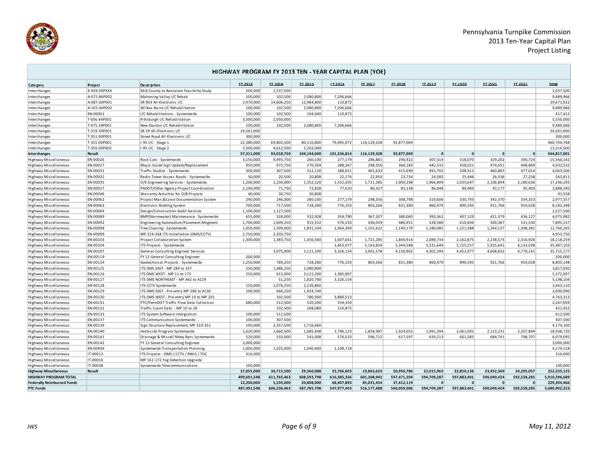

÷,



**College** 

| FY 2020<br>FY 2021<br>FY 2022<br>FY 2013<br>FY 2014<br>FY 2015<br>FY 2016<br><b>FY 2017</b><br>FY 2018<br>FY 2019<br><b>Total</b><br>Project<br>De scription<br>Cate gory<br>X-XXX.XXPXXX<br>2,037,500<br>Mid-County to Bensalem Feasibilty Study<br>500,000<br>1,537,500<br>Interchanges<br>A-075.86P002<br>Mahoning Valley I/C Rehab<br>100,000<br>102,500<br>2,080,800<br>7,206,666<br>9,489,966<br>Interchanges<br>2,470,000<br>14,606,250<br>12,484,800<br>110.872<br>29,671,922<br>A-087.00P001<br>SR 903 All-Electronic I/C<br>Interchanges<br>102,500<br>2,080,800<br>7,206,666<br>9,489,966<br>A-105.44P002<br>Wilkes-Barre I/C Rehabilitation<br>100,000<br>Interchanges<br>417,412<br>EN-00061<br>I/C Rehabilitations - Systemwide<br>100,000<br>102,500<br>104,040<br>110,872<br>Interchanges<br>3,500,000<br>2,050,000<br>5,550,000<br>T-056.44P001<br>Pittsburgh I/C Rehabilitation<br>Interchanges<br>7,206,666<br>9,489,966<br>T-075.39P001<br>New Stanton I/C Rehabilitation<br>100,000<br>102,500<br>2,080,800<br>Interchanges<br>24,261,000<br>SR 29 All-Electronic I/C<br>24,261,000<br>Interchanges<br>T-319.30P001<br>300,000<br>300,000<br>T-351.90P001<br>Street Road All-Electronic I/C<br>Interchanges<br>460,794,768<br>T-355.00P001<br>1-95 I/C - Stage 1<br>22,380,000<br>69,802,500<br>80,110,800<br>79,495,072<br>116,129,328<br>92,877,069<br>Interchanges<br>13,314,500<br>T-355.00P002<br>1-95 I/C - Stage 2<br>3,500,000<br>4,612,500<br>5,202,000<br>Interchanges<br>93,018,750<br>104,144,040<br>101,336,814<br>116,129,328<br>564,817,001<br>Result<br>57,311,000<br>92,877,069<br>$\mathbf{0}$<br>$\mathbf{0}$<br>$\mathbf{0}$<br>$\mathbf{0}$<br>Interchanges<br>277,179<br>307,314<br>329,202<br>340,724<br>15,560,142<br>Highway Miscellaneous<br>EN-00026<br>Rock Cuts - Systemwide<br>3,150,000<br>9,993,750<br>260,100<br>286,881<br>296,922<br>318,070<br>EN-00027<br>973,750<br>270,504<br>288,267<br>442,532<br>458,021<br>474,051<br>408,869<br>4,932,532<br>Major Guide Sign Update/Replacement<br>950,000<br>298,356<br>368,183<br>Highway Miscellaneous<br>300,000<br>307,500<br>312,120<br>388,051<br>401,633<br>415,690<br>491,702<br>508,912<br>460.883<br>477,014<br>4,063,506<br>Highway Miscellaneous<br>EN-00031<br>Traffic Studies - Systemwide<br>Radio Tower Access Roads - Systemwide<br>50,000<br>20,500<br>20,808<br>22,174<br>22,950<br>23,754<br>24,585<br>25,446<br>26,336<br>27,258<br>263,811<br>Highway Miscellaneous<br>EN-00032<br>1,230,000<br>1,352,520<br>1,552,205<br>1,721,285<br>1,900,298<br>1,966,809<br>2,035,647<br>2,106,894<br>17,246,293<br>Highway Miscellaneous<br>EN-00035<br>O/E Engineering Services - Systemwide<br>1,200,000<br>2,180,636<br>2,140,000<br>71,750<br>72,828<br>77,610<br>80,327<br>83,138<br>86,048<br>89,060<br>92,177<br>95,403<br>2,888,340<br>Highway Miscellaneous<br>EN-00037<br>PADOT/Other Agency Project Coordination<br>40,000<br>30,750<br>20,808<br>91,558<br>Highway Miscellaneous<br>EN-00046<br>Warranty Activities for D/B Projects<br>EN-00062<br>Project Man.&Const Documentation System<br>240,000<br>246,000<br>260,100<br>277,179<br>298,356<br>308,798<br>319,606<br>330,793<br>342,370<br>354,353<br>2,977,557<br>Highway Miscellaneous<br>700,000<br>717,500<br>728,280<br>776,103<br>803,266<br>831,380<br>860,479<br>890,595<br>921,766<br>954,028<br>8,183,398<br>Highway Miscellaneous<br>EN-00063<br>Electronic Bidding System<br>1,100,000<br>1,127,500<br>2,227,500<br>Highway Miscellaneous<br>EN-00064<br>Design/Construction Audit Services<br>4,075,982<br>EN-00089<br>655,000<br>328,000<br>332,928<br>354,790<br>367,207<br>380,060<br>393,362<br>407,129<br>421,379<br>436,127<br>Highway Miscellaneous<br>BMP(Stormwater) Maintenance - Systemwide<br>576,533<br>1,700,000<br>1,609,250<br>915,552<br>436,059<br>486,951<br>528,580<br>610,694<br>500,387<br>531,530<br>7,895,537<br>Highway Miscellaneous<br>EN-00092<br>Engineering Automation/Pavement Mngment<br>12,760,265<br>1,050,000<br>1,599,000<br>1,831,104<br>1,064,369<br>1,180,085<br>Highway Miscellaneous<br>EN-00098<br>Tree Clearing - Systemwide<br>1,101,622<br>1,140,179<br>1,221,388<br>1,264,137<br>1,308,381<br>4,953,750<br>EN-00099<br>MP 224-268 ITS Installation (DMS/CCTV)<br>2,750,000<br>2,203,750<br>Highway Miscellaneous<br>EN-00103<br>1,300,000<br>1,383,750<br>1,456,560<br>1,607,641<br>1,721,285<br>1,840,914<br>2,089,734<br>2,162,875<br>2,238,575<br>2,316,926<br>18,118,259<br>Highway Miscellaneous<br>Project Collaboration System<br>1,663,077<br>5,344,588<br>5,531,649<br>5,725,257<br>5,925,641<br>35,487,103<br>Highway Miscellaneous<br>EN-00104<br>ITS Projects - Systemwide<br>5,163,854<br>6,133,038<br>35,715,177<br>EN-00107<br>General Consulting Engineer Services<br>3,075,000<br>3,121,200<br>3,326,154<br>3,901,578<br>4,156,902<br>4,302,394<br>4,452,977<br>4,608,832<br>4,770,141<br>Highway Miscellaneous<br>EN-00119<br>200,000<br>200,000<br>Highway Miscellaneous<br>FY 12 General Consulting Engineer<br>728,280<br>8,805,148<br>EN-00124<br>1,250,000<br>789,250<br>776,103<br>803,266<br>831,380<br>860,479<br>890,595<br>954,028<br>Highway Miscellaneous<br>Geotechnical Projects - Systemwide<br>921,766<br>1,486,250<br>2,080,800<br>3,817,050<br>Highway Miscellaneous<br>EN-00125<br>ITS DMS EAST - MP 284 to 337<br>250,000<br>Highway Miscellaneous<br>EN-00126<br>ITS DMS WEST - MP 11 to 175<br>250,000<br>615,000<br>3,121,200<br>1,385,897<br>5,372,097<br>EN-00127<br>ITS DMS NORTHEAST - MP A42 to A129<br>51,250<br>1,820,700<br>3,326,154<br>5,198,104<br>Highway Miscellaneous<br>1,076,250<br>3,463,110<br>EN-00128<br>150,000<br>2,236,860<br>Highway Miscellaneous<br>ITS CCTV Systemwide<br>EN-00129<br>ITS DMS EAST - Pre-entry MP 286 to A130<br>100,000<br>666,250<br>1,924,740<br>2,690,990<br>Highway Miscellaneous<br>4,763,313<br>EN-00130<br>ITS DMS WEST - Pre-entry MP 10 to MP 201<br>102,500<br>780,300<br>3,880,513<br>Highway Miscellaneous<br>512.500<br>520.200<br>554.359<br>2,267,059<br>EN-00131<br>PTC/PennDOT Traffic Flow Data Collection<br>680,000<br>Highway Miscellaneous<br>EN-00132<br>Traffic Count Data - MP 10 to 28<br>102,500<br>208,080<br>110.872<br>421,452<br>Highway Miscellaneous<br>512,500<br>612,500<br>Highway Miscellaneous<br>EN-00133<br>ITS System Software Intergration<br>100,000<br>407,500<br>EN-00137<br>100,000<br>307,500<br>ITS Communication Systemwide<br>Highway Miscellaneous<br>4,174,160<br>Highway Miscellaneous<br>EN-00139<br>Sign Structure Replacement, MP 310-351<br>100,000<br>2,357,500<br>1,716,660<br>1,620,000<br>1,660,500<br>1,685,448<br>1,796,123<br>1,858,987<br>2,133,231<br>2,207,894<br>18,938,720<br>Highway Miscellaneous<br>EN-00140<br>Herbicide Program Systemwide<br>1,924,052<br>1,991,394<br>2,061,092<br>576,533<br>596,712<br>617,597<br>639,213<br>661,585<br>684,741<br>6,079,095<br>Highway Miscellaneous<br>EN-00141<br>Drainage & Miscell Rdwy Rprs Systemwide<br>520,000<br>533,000<br>541,008<br>708,707<br>Highway Miscellaneous<br>EN-00142<br>FY 13 General Consulting Engineer<br>3,000,000<br>3,000,000<br>1,000,000<br>4,174,118<br>Highway Miscellaneous<br>EN-00XXX<br>Systemwide Transportation Planning<br>1,025,000<br>1,040,400<br>1,108,718<br>IT-00013<br>310,000<br>Highway Miscellaneous<br>ITS Projects - DMS / CCTV / RWIS / TOC<br>310,000<br>Highway Miscellaneous<br>IT-00016<br>MP 161-172 Fog Detection Upgrade<br>IT-00038<br>Highway Miscellaneous<br>Systemwide Telecommunications<br>100,000<br>100,000<br>25,766,603<br>19,863,623<br>20,950,786<br>22,015,963<br>22,850,136<br>23,452,369<br>252,235,125<br><b>Highway Miscellaneous</b><br>Result<br>27,055,000<br>36,715,500<br>29,360,088<br>24,205,057<br><b>HIGHWAY PROGRAM TOTAL</b><br>616,385,336<br>601,208,942<br>597,471,204<br>590,049,424<br>592,538,285<br>5,910,296,689<br>499,691,548<br>611,765,463<br>608,593,798<br>594,709,287<br>597,883,401<br>68,407,893<br>37,412,119<br>229,394,466<br><b>Federally Reimbursed Funds</b><br>12,200,000<br>5,535,000<br>20,808,000<br>85,031,454<br>$\mathbf{0}$<br>$\mathbf 0$<br>$\Omega$<br>$\Omega$<br>606,230,463<br>587,785,798<br>547,977,443<br>560,059,086<br>594,709,287<br>597,883,401<br>590,049,424<br>592,538,285<br>5,680,902,223<br><b>PTC Funds</b><br>487,491,548<br>516,177,488 | HIGHWAY PROGRAM FY 2013 TEN - YEAR CAPITAL PLAN (YOE) |  |  |  |  |  |  |  |  |  |  |  |  |  |
|-----------------------------------------------------------------------------------------------------------------------------------------------------------------------------------------------------------------------------------------------------------------------------------------------------------------------------------------------------------------------------------------------------------------------------------------------------------------------------------------------------------------------------------------------------------------------------------------------------------------------------------------------------------------------------------------------------------------------------------------------------------------------------------------------------------------------------------------------------------------------------------------------------------------------------------------------------------------------------------------------------------------------------------------------------------------------------------------------------------------------------------------------------------------------------------------------------------------------------------------------------------------------------------------------------------------------------------------------------------------------------------------------------------------------------------------------------------------------------------------------------------------------------------------------------------------------------------------------------------------------------------------------------------------------------------------------------------------------------------------------------------------------------------------------------------------------------------------------------------------------------------------------------------------------------------------------------------------------------------------------------------------------------------------------------------------------------------------------------------------------------------------------------------------------------------------------------------------------------------------------------------------------------------------------------------------------------------------------------------------------------------------------------------------------------------------------------------------------------------------------------------------------------------------------------------------------------------------------------------------------------------------------------------------------------------------------------------------------------------------------------------------------------------------------------------------------------------------------------------------------------------------------------------------------------------------------------------------------------------------------------------------------------------------------------------------------------------------------------------------------------------------------------------------------------------------------------------------------------------------------------------------------------------------------------------------------------------------------------------------------------------------------------------------------------------------------------------------------------------------------------------------------------------------------------------------------------------------------------------------------------------------------------------------------------------------------------------------------------------------------------------------------------------------------------------------------------------------------------------------------------------------------------------------------------------------------------------------------------------------------------------------------------------------------------------------------------------------------------------------------------------------------------------------------------------------------------------------------------------------------------------------------------------------------------------------------------------------------------------------------------------------------------------------------------------------------------------------------------------------------------------------------------------------------------------------------------------------------------------------------------------------------------------------------------------------------------------------------------------------------------------------------------------------------------------------------------------------------------------------------------------------------------------------------------------------------------------------------------------------------------------------------------------------------------------------------------------------------------------------------------------------------------------------------------------------------------------------------------------------------------------------------------------------------------------------------------------------------------------------------------------------------------------------------------------------------------------------------------------------------------------------------------------------------------------------------------------------------------------------------------------------------------------------------------------------------------------------------------------------------------------------------------------------------------------------------------------------------------------------------------------------------------------------------------------------------------------------------------------------------------------------------------------------------------------------------------------------------------------------------------------------------------------------------------------------------------------------------------------------------------------------------------------------------------------------------------------------------------------------------------------------------------------------------------------------------------------------------------------------------------------------------------------------------------------------------------------------------------------------------------------------------------------------------------------------------------------------------------------------------------------------------------------------------------------------------------------------------------------------------------------------------------------------------------------------------------------------------------------------------------------------------------------------------------------------------------------------------------------------------------------------------------------------------------------------------------------------------------------------------------------------------------------------------------------------------------------------------------------------------------------------------------------------------------------------------------------------------------------------------------------------------------------------------------------------------------------------------------------------------------------------------------------------------------------------------------------------------------------------------------------------------------------------------------------------------------------------------------------------------------------------------------------------------------------------------------------------------------------------------------------------------------------------------------------------------------------------------------------------------------------------------------------------------------------------------------------------------------------------------------------------------------------------------------------------------------------------------------------------------------------------------------------------------------------------|-------------------------------------------------------|--|--|--|--|--|--|--|--|--|--|--|--|--|
|                                                                                                                                                                                                                                                                                                                                                                                                                                                                                                                                                                                                                                                                                                                                                                                                                                                                                                                                                                                                                                                                                                                                                                                                                                                                                                                                                                                                                                                                                                                                                                                                                                                                                                                                                                                                                                                                                                                                                                                                                                                                                                                                                                                                                                                                                                                                                                                                                                                                                                                                                                                                                                                                                                                                                                                                                                                                                                                                                                                                                                                                                                                                                                                                                                                                                                                                                                                                                                                                                                                                                                                                                                                                                                                                                                                                                                                                                                                                                                                                                                                                                                                                                                                                                                                                                                                                                                                                                                                                                                                                                                                                                                                                                                                                                                                                                                                                                                                                                                                                                                                                                                                                                                                                                                                                                                                                                                                                                                                                                                                                                                                                                                                                                                                                                                                                                                                                                                                                                                                                                                                                                                                                                                                                                                                                                                                                                                                                                                                                                                                                                                                                                                                                                                                                                                                                                                                                                                                                                                                                                                                                                                                                                                                                                                                                                                                                                                                                                                                                                                                                                                                                                                                                                                                                                                                                                                                                                                                                                                                                                                                                                                                                                                                                                                                                                                                                                                                                                                         |                                                       |  |  |  |  |  |  |  |  |  |  |  |  |  |
|                                                                                                                                                                                                                                                                                                                                                                                                                                                                                                                                                                                                                                                                                                                                                                                                                                                                                                                                                                                                                                                                                                                                                                                                                                                                                                                                                                                                                                                                                                                                                                                                                                                                                                                                                                                                                                                                                                                                                                                                                                                                                                                                                                                                                                                                                                                                                                                                                                                                                                                                                                                                                                                                                                                                                                                                                                                                                                                                                                                                                                                                                                                                                                                                                                                                                                                                                                                                                                                                                                                                                                                                                                                                                                                                                                                                                                                                                                                                                                                                                                                                                                                                                                                                                                                                                                                                                                                                                                                                                                                                                                                                                                                                                                                                                                                                                                                                                                                                                                                                                                                                                                                                                                                                                                                                                                                                                                                                                                                                                                                                                                                                                                                                                                                                                                                                                                                                                                                                                                                                                                                                                                                                                                                                                                                                                                                                                                                                                                                                                                                                                                                                                                                                                                                                                                                                                                                                                                                                                                                                                                                                                                                                                                                                                                                                                                                                                                                                                                                                                                                                                                                                                                                                                                                                                                                                                                                                                                                                                                                                                                                                                                                                                                                                                                                                                                                                                                                                                                         |                                                       |  |  |  |  |  |  |  |  |  |  |  |  |  |
|                                                                                                                                                                                                                                                                                                                                                                                                                                                                                                                                                                                                                                                                                                                                                                                                                                                                                                                                                                                                                                                                                                                                                                                                                                                                                                                                                                                                                                                                                                                                                                                                                                                                                                                                                                                                                                                                                                                                                                                                                                                                                                                                                                                                                                                                                                                                                                                                                                                                                                                                                                                                                                                                                                                                                                                                                                                                                                                                                                                                                                                                                                                                                                                                                                                                                                                                                                                                                                                                                                                                                                                                                                                                                                                                                                                                                                                                                                                                                                                                                                                                                                                                                                                                                                                                                                                                                                                                                                                                                                                                                                                                                                                                                                                                                                                                                                                                                                                                                                                                                                                                                                                                                                                                                                                                                                                                                                                                                                                                                                                                                                                                                                                                                                                                                                                                                                                                                                                                                                                                                                                                                                                                                                                                                                                                                                                                                                                                                                                                                                                                                                                                                                                                                                                                                                                                                                                                                                                                                                                                                                                                                                                                                                                                                                                                                                                                                                                                                                                                                                                                                                                                                                                                                                                                                                                                                                                                                                                                                                                                                                                                                                                                                                                                                                                                                                                                                                                                                                         |                                                       |  |  |  |  |  |  |  |  |  |  |  |  |  |
|                                                                                                                                                                                                                                                                                                                                                                                                                                                                                                                                                                                                                                                                                                                                                                                                                                                                                                                                                                                                                                                                                                                                                                                                                                                                                                                                                                                                                                                                                                                                                                                                                                                                                                                                                                                                                                                                                                                                                                                                                                                                                                                                                                                                                                                                                                                                                                                                                                                                                                                                                                                                                                                                                                                                                                                                                                                                                                                                                                                                                                                                                                                                                                                                                                                                                                                                                                                                                                                                                                                                                                                                                                                                                                                                                                                                                                                                                                                                                                                                                                                                                                                                                                                                                                                                                                                                                                                                                                                                                                                                                                                                                                                                                                                                                                                                                                                                                                                                                                                                                                                                                                                                                                                                                                                                                                                                                                                                                                                                                                                                                                                                                                                                                                                                                                                                                                                                                                                                                                                                                                                                                                                                                                                                                                                                                                                                                                                                                                                                                                                                                                                                                                                                                                                                                                                                                                                                                                                                                                                                                                                                                                                                                                                                                                                                                                                                                                                                                                                                                                                                                                                                                                                                                                                                                                                                                                                                                                                                                                                                                                                                                                                                                                                                                                                                                                                                                                                                                                         |                                                       |  |  |  |  |  |  |  |  |  |  |  |  |  |
|                                                                                                                                                                                                                                                                                                                                                                                                                                                                                                                                                                                                                                                                                                                                                                                                                                                                                                                                                                                                                                                                                                                                                                                                                                                                                                                                                                                                                                                                                                                                                                                                                                                                                                                                                                                                                                                                                                                                                                                                                                                                                                                                                                                                                                                                                                                                                                                                                                                                                                                                                                                                                                                                                                                                                                                                                                                                                                                                                                                                                                                                                                                                                                                                                                                                                                                                                                                                                                                                                                                                                                                                                                                                                                                                                                                                                                                                                                                                                                                                                                                                                                                                                                                                                                                                                                                                                                                                                                                                                                                                                                                                                                                                                                                                                                                                                                                                                                                                                                                                                                                                                                                                                                                                                                                                                                                                                                                                                                                                                                                                                                                                                                                                                                                                                                                                                                                                                                                                                                                                                                                                                                                                                                                                                                                                                                                                                                                                                                                                                                                                                                                                                                                                                                                                                                                                                                                                                                                                                                                                                                                                                                                                                                                                                                                                                                                                                                                                                                                                                                                                                                                                                                                                                                                                                                                                                                                                                                                                                                                                                                                                                                                                                                                                                                                                                                                                                                                                                                         |                                                       |  |  |  |  |  |  |  |  |  |  |  |  |  |
|                                                                                                                                                                                                                                                                                                                                                                                                                                                                                                                                                                                                                                                                                                                                                                                                                                                                                                                                                                                                                                                                                                                                                                                                                                                                                                                                                                                                                                                                                                                                                                                                                                                                                                                                                                                                                                                                                                                                                                                                                                                                                                                                                                                                                                                                                                                                                                                                                                                                                                                                                                                                                                                                                                                                                                                                                                                                                                                                                                                                                                                                                                                                                                                                                                                                                                                                                                                                                                                                                                                                                                                                                                                                                                                                                                                                                                                                                                                                                                                                                                                                                                                                                                                                                                                                                                                                                                                                                                                                                                                                                                                                                                                                                                                                                                                                                                                                                                                                                                                                                                                                                                                                                                                                                                                                                                                                                                                                                                                                                                                                                                                                                                                                                                                                                                                                                                                                                                                                                                                                                                                                                                                                                                                                                                                                                                                                                                                                                                                                                                                                                                                                                                                                                                                                                                                                                                                                                                                                                                                                                                                                                                                                                                                                                                                                                                                                                                                                                                                                                                                                                                                                                                                                                                                                                                                                                                                                                                                                                                                                                                                                                                                                                                                                                                                                                                                                                                                                                                         |                                                       |  |  |  |  |  |  |  |  |  |  |  |  |  |
|                                                                                                                                                                                                                                                                                                                                                                                                                                                                                                                                                                                                                                                                                                                                                                                                                                                                                                                                                                                                                                                                                                                                                                                                                                                                                                                                                                                                                                                                                                                                                                                                                                                                                                                                                                                                                                                                                                                                                                                                                                                                                                                                                                                                                                                                                                                                                                                                                                                                                                                                                                                                                                                                                                                                                                                                                                                                                                                                                                                                                                                                                                                                                                                                                                                                                                                                                                                                                                                                                                                                                                                                                                                                                                                                                                                                                                                                                                                                                                                                                                                                                                                                                                                                                                                                                                                                                                                                                                                                                                                                                                                                                                                                                                                                                                                                                                                                                                                                                                                                                                                                                                                                                                                                                                                                                                                                                                                                                                                                                                                                                                                                                                                                                                                                                                                                                                                                                                                                                                                                                                                                                                                                                                                                                                                                                                                                                                                                                                                                                                                                                                                                                                                                                                                                                                                                                                                                                                                                                                                                                                                                                                                                                                                                                                                                                                                                                                                                                                                                                                                                                                                                                                                                                                                                                                                                                                                                                                                                                                                                                                                                                                                                                                                                                                                                                                                                                                                                                                         |                                                       |  |  |  |  |  |  |  |  |  |  |  |  |  |
|                                                                                                                                                                                                                                                                                                                                                                                                                                                                                                                                                                                                                                                                                                                                                                                                                                                                                                                                                                                                                                                                                                                                                                                                                                                                                                                                                                                                                                                                                                                                                                                                                                                                                                                                                                                                                                                                                                                                                                                                                                                                                                                                                                                                                                                                                                                                                                                                                                                                                                                                                                                                                                                                                                                                                                                                                                                                                                                                                                                                                                                                                                                                                                                                                                                                                                                                                                                                                                                                                                                                                                                                                                                                                                                                                                                                                                                                                                                                                                                                                                                                                                                                                                                                                                                                                                                                                                                                                                                                                                                                                                                                                                                                                                                                                                                                                                                                                                                                                                                                                                                                                                                                                                                                                                                                                                                                                                                                                                                                                                                                                                                                                                                                                                                                                                                                                                                                                                                                                                                                                                                                                                                                                                                                                                                                                                                                                                                                                                                                                                                                                                                                                                                                                                                                                                                                                                                                                                                                                                                                                                                                                                                                                                                                                                                                                                                                                                                                                                                                                                                                                                                                                                                                                                                                                                                                                                                                                                                                                                                                                                                                                                                                                                                                                                                                                                                                                                                                                                         |                                                       |  |  |  |  |  |  |  |  |  |  |  |  |  |
|                                                                                                                                                                                                                                                                                                                                                                                                                                                                                                                                                                                                                                                                                                                                                                                                                                                                                                                                                                                                                                                                                                                                                                                                                                                                                                                                                                                                                                                                                                                                                                                                                                                                                                                                                                                                                                                                                                                                                                                                                                                                                                                                                                                                                                                                                                                                                                                                                                                                                                                                                                                                                                                                                                                                                                                                                                                                                                                                                                                                                                                                                                                                                                                                                                                                                                                                                                                                                                                                                                                                                                                                                                                                                                                                                                                                                                                                                                                                                                                                                                                                                                                                                                                                                                                                                                                                                                                                                                                                                                                                                                                                                                                                                                                                                                                                                                                                                                                                                                                                                                                                                                                                                                                                                                                                                                                                                                                                                                                                                                                                                                                                                                                                                                                                                                                                                                                                                                                                                                                                                                                                                                                                                                                                                                                                                                                                                                                                                                                                                                                                                                                                                                                                                                                                                                                                                                                                                                                                                                                                                                                                                                                                                                                                                                                                                                                                                                                                                                                                                                                                                                                                                                                                                                                                                                                                                                                                                                                                                                                                                                                                                                                                                                                                                                                                                                                                                                                                                                         |                                                       |  |  |  |  |  |  |  |  |  |  |  |  |  |
|                                                                                                                                                                                                                                                                                                                                                                                                                                                                                                                                                                                                                                                                                                                                                                                                                                                                                                                                                                                                                                                                                                                                                                                                                                                                                                                                                                                                                                                                                                                                                                                                                                                                                                                                                                                                                                                                                                                                                                                                                                                                                                                                                                                                                                                                                                                                                                                                                                                                                                                                                                                                                                                                                                                                                                                                                                                                                                                                                                                                                                                                                                                                                                                                                                                                                                                                                                                                                                                                                                                                                                                                                                                                                                                                                                                                                                                                                                                                                                                                                                                                                                                                                                                                                                                                                                                                                                                                                                                                                                                                                                                                                                                                                                                                                                                                                                                                                                                                                                                                                                                                                                                                                                                                                                                                                                                                                                                                                                                                                                                                                                                                                                                                                                                                                                                                                                                                                                                                                                                                                                                                                                                                                                                                                                                                                                                                                                                                                                                                                                                                                                                                                                                                                                                                                                                                                                                                                                                                                                                                                                                                                                                                                                                                                                                                                                                                                                                                                                                                                                                                                                                                                                                                                                                                                                                                                                                                                                                                                                                                                                                                                                                                                                                                                                                                                                                                                                                                                                         |                                                       |  |  |  |  |  |  |  |  |  |  |  |  |  |
|                                                                                                                                                                                                                                                                                                                                                                                                                                                                                                                                                                                                                                                                                                                                                                                                                                                                                                                                                                                                                                                                                                                                                                                                                                                                                                                                                                                                                                                                                                                                                                                                                                                                                                                                                                                                                                                                                                                                                                                                                                                                                                                                                                                                                                                                                                                                                                                                                                                                                                                                                                                                                                                                                                                                                                                                                                                                                                                                                                                                                                                                                                                                                                                                                                                                                                                                                                                                                                                                                                                                                                                                                                                                                                                                                                                                                                                                                                                                                                                                                                                                                                                                                                                                                                                                                                                                                                                                                                                                                                                                                                                                                                                                                                                                                                                                                                                                                                                                                                                                                                                                                                                                                                                                                                                                                                                                                                                                                                                                                                                                                                                                                                                                                                                                                                                                                                                                                                                                                                                                                                                                                                                                                                                                                                                                                                                                                                                                                                                                                                                                                                                                                                                                                                                                                                                                                                                                                                                                                                                                                                                                                                                                                                                                                                                                                                                                                                                                                                                                                                                                                                                                                                                                                                                                                                                                                                                                                                                                                                                                                                                                                                                                                                                                                                                                                                                                                                                                                                         |                                                       |  |  |  |  |  |  |  |  |  |  |  |  |  |
|                                                                                                                                                                                                                                                                                                                                                                                                                                                                                                                                                                                                                                                                                                                                                                                                                                                                                                                                                                                                                                                                                                                                                                                                                                                                                                                                                                                                                                                                                                                                                                                                                                                                                                                                                                                                                                                                                                                                                                                                                                                                                                                                                                                                                                                                                                                                                                                                                                                                                                                                                                                                                                                                                                                                                                                                                                                                                                                                                                                                                                                                                                                                                                                                                                                                                                                                                                                                                                                                                                                                                                                                                                                                                                                                                                                                                                                                                                                                                                                                                                                                                                                                                                                                                                                                                                                                                                                                                                                                                                                                                                                                                                                                                                                                                                                                                                                                                                                                                                                                                                                                                                                                                                                                                                                                                                                                                                                                                                                                                                                                                                                                                                                                                                                                                                                                                                                                                                                                                                                                                                                                                                                                                                                                                                                                                                                                                                                                                                                                                                                                                                                                                                                                                                                                                                                                                                                                                                                                                                                                                                                                                                                                                                                                                                                                                                                                                                                                                                                                                                                                                                                                                                                                                                                                                                                                                                                                                                                                                                                                                                                                                                                                                                                                                                                                                                                                                                                                                                         |                                                       |  |  |  |  |  |  |  |  |  |  |  |  |  |
|                                                                                                                                                                                                                                                                                                                                                                                                                                                                                                                                                                                                                                                                                                                                                                                                                                                                                                                                                                                                                                                                                                                                                                                                                                                                                                                                                                                                                                                                                                                                                                                                                                                                                                                                                                                                                                                                                                                                                                                                                                                                                                                                                                                                                                                                                                                                                                                                                                                                                                                                                                                                                                                                                                                                                                                                                                                                                                                                                                                                                                                                                                                                                                                                                                                                                                                                                                                                                                                                                                                                                                                                                                                                                                                                                                                                                                                                                                                                                                                                                                                                                                                                                                                                                                                                                                                                                                                                                                                                                                                                                                                                                                                                                                                                                                                                                                                                                                                                                                                                                                                                                                                                                                                                                                                                                                                                                                                                                                                                                                                                                                                                                                                                                                                                                                                                                                                                                                                                                                                                                                                                                                                                                                                                                                                                                                                                                                                                                                                                                                                                                                                                                                                                                                                                                                                                                                                                                                                                                                                                                                                                                                                                                                                                                                                                                                                                                                                                                                                                                                                                                                                                                                                                                                                                                                                                                                                                                                                                                                                                                                                                                                                                                                                                                                                                                                                                                                                                                                         |                                                       |  |  |  |  |  |  |  |  |  |  |  |  |  |
|                                                                                                                                                                                                                                                                                                                                                                                                                                                                                                                                                                                                                                                                                                                                                                                                                                                                                                                                                                                                                                                                                                                                                                                                                                                                                                                                                                                                                                                                                                                                                                                                                                                                                                                                                                                                                                                                                                                                                                                                                                                                                                                                                                                                                                                                                                                                                                                                                                                                                                                                                                                                                                                                                                                                                                                                                                                                                                                                                                                                                                                                                                                                                                                                                                                                                                                                                                                                                                                                                                                                                                                                                                                                                                                                                                                                                                                                                                                                                                                                                                                                                                                                                                                                                                                                                                                                                                                                                                                                                                                                                                                                                                                                                                                                                                                                                                                                                                                                                                                                                                                                                                                                                                                                                                                                                                                                                                                                                                                                                                                                                                                                                                                                                                                                                                                                                                                                                                                                                                                                                                                                                                                                                                                                                                                                                                                                                                                                                                                                                                                                                                                                                                                                                                                                                                                                                                                                                                                                                                                                                                                                                                                                                                                                                                                                                                                                                                                                                                                                                                                                                                                                                                                                                                                                                                                                                                                                                                                                                                                                                                                                                                                                                                                                                                                                                                                                                                                                                                         |                                                       |  |  |  |  |  |  |  |  |  |  |  |  |  |
|                                                                                                                                                                                                                                                                                                                                                                                                                                                                                                                                                                                                                                                                                                                                                                                                                                                                                                                                                                                                                                                                                                                                                                                                                                                                                                                                                                                                                                                                                                                                                                                                                                                                                                                                                                                                                                                                                                                                                                                                                                                                                                                                                                                                                                                                                                                                                                                                                                                                                                                                                                                                                                                                                                                                                                                                                                                                                                                                                                                                                                                                                                                                                                                                                                                                                                                                                                                                                                                                                                                                                                                                                                                                                                                                                                                                                                                                                                                                                                                                                                                                                                                                                                                                                                                                                                                                                                                                                                                                                                                                                                                                                                                                                                                                                                                                                                                                                                                                                                                                                                                                                                                                                                                                                                                                                                                                                                                                                                                                                                                                                                                                                                                                                                                                                                                                                                                                                                                                                                                                                                                                                                                                                                                                                                                                                                                                                                                                                                                                                                                                                                                                                                                                                                                                                                                                                                                                                                                                                                                                                                                                                                                                                                                                                                                                                                                                                                                                                                                                                                                                                                                                                                                                                                                                                                                                                                                                                                                                                                                                                                                                                                                                                                                                                                                                                                                                                                                                                                         |                                                       |  |  |  |  |  |  |  |  |  |  |  |  |  |
|                                                                                                                                                                                                                                                                                                                                                                                                                                                                                                                                                                                                                                                                                                                                                                                                                                                                                                                                                                                                                                                                                                                                                                                                                                                                                                                                                                                                                                                                                                                                                                                                                                                                                                                                                                                                                                                                                                                                                                                                                                                                                                                                                                                                                                                                                                                                                                                                                                                                                                                                                                                                                                                                                                                                                                                                                                                                                                                                                                                                                                                                                                                                                                                                                                                                                                                                                                                                                                                                                                                                                                                                                                                                                                                                                                                                                                                                                                                                                                                                                                                                                                                                                                                                                                                                                                                                                                                                                                                                                                                                                                                                                                                                                                                                                                                                                                                                                                                                                                                                                                                                                                                                                                                                                                                                                                                                                                                                                                                                                                                                                                                                                                                                                                                                                                                                                                                                                                                                                                                                                                                                                                                                                                                                                                                                                                                                                                                                                                                                                                                                                                                                                                                                                                                                                                                                                                                                                                                                                                                                                                                                                                                                                                                                                                                                                                                                                                                                                                                                                                                                                                                                                                                                                                                                                                                                                                                                                                                                                                                                                                                                                                                                                                                                                                                                                                                                                                                                                                         |                                                       |  |  |  |  |  |  |  |  |  |  |  |  |  |
|                                                                                                                                                                                                                                                                                                                                                                                                                                                                                                                                                                                                                                                                                                                                                                                                                                                                                                                                                                                                                                                                                                                                                                                                                                                                                                                                                                                                                                                                                                                                                                                                                                                                                                                                                                                                                                                                                                                                                                                                                                                                                                                                                                                                                                                                                                                                                                                                                                                                                                                                                                                                                                                                                                                                                                                                                                                                                                                                                                                                                                                                                                                                                                                                                                                                                                                                                                                                                                                                                                                                                                                                                                                                                                                                                                                                                                                                                                                                                                                                                                                                                                                                                                                                                                                                                                                                                                                                                                                                                                                                                                                                                                                                                                                                                                                                                                                                                                                                                                                                                                                                                                                                                                                                                                                                                                                                                                                                                                                                                                                                                                                                                                                                                                                                                                                                                                                                                                                                                                                                                                                                                                                                                                                                                                                                                                                                                                                                                                                                                                                                                                                                                                                                                                                                                                                                                                                                                                                                                                                                                                                                                                                                                                                                                                                                                                                                                                                                                                                                                                                                                                                                                                                                                                                                                                                                                                                                                                                                                                                                                                                                                                                                                                                                                                                                                                                                                                                                                                         |                                                       |  |  |  |  |  |  |  |  |  |  |  |  |  |
|                                                                                                                                                                                                                                                                                                                                                                                                                                                                                                                                                                                                                                                                                                                                                                                                                                                                                                                                                                                                                                                                                                                                                                                                                                                                                                                                                                                                                                                                                                                                                                                                                                                                                                                                                                                                                                                                                                                                                                                                                                                                                                                                                                                                                                                                                                                                                                                                                                                                                                                                                                                                                                                                                                                                                                                                                                                                                                                                                                                                                                                                                                                                                                                                                                                                                                                                                                                                                                                                                                                                                                                                                                                                                                                                                                                                                                                                                                                                                                                                                                                                                                                                                                                                                                                                                                                                                                                                                                                                                                                                                                                                                                                                                                                                                                                                                                                                                                                                                                                                                                                                                                                                                                                                                                                                                                                                                                                                                                                                                                                                                                                                                                                                                                                                                                                                                                                                                                                                                                                                                                                                                                                                                                                                                                                                                                                                                                                                                                                                                                                                                                                                                                                                                                                                                                                                                                                                                                                                                                                                                                                                                                                                                                                                                                                                                                                                                                                                                                                                                                                                                                                                                                                                                                                                                                                                                                                                                                                                                                                                                                                                                                                                                                                                                                                                                                                                                                                                                                         |                                                       |  |  |  |  |  |  |  |  |  |  |  |  |  |
|                                                                                                                                                                                                                                                                                                                                                                                                                                                                                                                                                                                                                                                                                                                                                                                                                                                                                                                                                                                                                                                                                                                                                                                                                                                                                                                                                                                                                                                                                                                                                                                                                                                                                                                                                                                                                                                                                                                                                                                                                                                                                                                                                                                                                                                                                                                                                                                                                                                                                                                                                                                                                                                                                                                                                                                                                                                                                                                                                                                                                                                                                                                                                                                                                                                                                                                                                                                                                                                                                                                                                                                                                                                                                                                                                                                                                                                                                                                                                                                                                                                                                                                                                                                                                                                                                                                                                                                                                                                                                                                                                                                                                                                                                                                                                                                                                                                                                                                                                                                                                                                                                                                                                                                                                                                                                                                                                                                                                                                                                                                                                                                                                                                                                                                                                                                                                                                                                                                                                                                                                                                                                                                                                                                                                                                                                                                                                                                                                                                                                                                                                                                                                                                                                                                                                                                                                                                                                                                                                                                                                                                                                                                                                                                                                                                                                                                                                                                                                                                                                                                                                                                                                                                                                                                                                                                                                                                                                                                                                                                                                                                                                                                                                                                                                                                                                                                                                                                                                                         |                                                       |  |  |  |  |  |  |  |  |  |  |  |  |  |
|                                                                                                                                                                                                                                                                                                                                                                                                                                                                                                                                                                                                                                                                                                                                                                                                                                                                                                                                                                                                                                                                                                                                                                                                                                                                                                                                                                                                                                                                                                                                                                                                                                                                                                                                                                                                                                                                                                                                                                                                                                                                                                                                                                                                                                                                                                                                                                                                                                                                                                                                                                                                                                                                                                                                                                                                                                                                                                                                                                                                                                                                                                                                                                                                                                                                                                                                                                                                                                                                                                                                                                                                                                                                                                                                                                                                                                                                                                                                                                                                                                                                                                                                                                                                                                                                                                                                                                                                                                                                                                                                                                                                                                                                                                                                                                                                                                                                                                                                                                                                                                                                                                                                                                                                                                                                                                                                                                                                                                                                                                                                                                                                                                                                                                                                                                                                                                                                                                                                                                                                                                                                                                                                                                                                                                                                                                                                                                                                                                                                                                                                                                                                                                                                                                                                                                                                                                                                                                                                                                                                                                                                                                                                                                                                                                                                                                                                                                                                                                                                                                                                                                                                                                                                                                                                                                                                                                                                                                                                                                                                                                                                                                                                                                                                                                                                                                                                                                                                                                         |                                                       |  |  |  |  |  |  |  |  |  |  |  |  |  |
|                                                                                                                                                                                                                                                                                                                                                                                                                                                                                                                                                                                                                                                                                                                                                                                                                                                                                                                                                                                                                                                                                                                                                                                                                                                                                                                                                                                                                                                                                                                                                                                                                                                                                                                                                                                                                                                                                                                                                                                                                                                                                                                                                                                                                                                                                                                                                                                                                                                                                                                                                                                                                                                                                                                                                                                                                                                                                                                                                                                                                                                                                                                                                                                                                                                                                                                                                                                                                                                                                                                                                                                                                                                                                                                                                                                                                                                                                                                                                                                                                                                                                                                                                                                                                                                                                                                                                                                                                                                                                                                                                                                                                                                                                                                                                                                                                                                                                                                                                                                                                                                                                                                                                                                                                                                                                                                                                                                                                                                                                                                                                                                                                                                                                                                                                                                                                                                                                                                                                                                                                                                                                                                                                                                                                                                                                                                                                                                                                                                                                                                                                                                                                                                                                                                                                                                                                                                                                                                                                                                                                                                                                                                                                                                                                                                                                                                                                                                                                                                                                                                                                                                                                                                                                                                                                                                                                                                                                                                                                                                                                                                                                                                                                                                                                                                                                                                                                                                                                                         |                                                       |  |  |  |  |  |  |  |  |  |  |  |  |  |
|                                                                                                                                                                                                                                                                                                                                                                                                                                                                                                                                                                                                                                                                                                                                                                                                                                                                                                                                                                                                                                                                                                                                                                                                                                                                                                                                                                                                                                                                                                                                                                                                                                                                                                                                                                                                                                                                                                                                                                                                                                                                                                                                                                                                                                                                                                                                                                                                                                                                                                                                                                                                                                                                                                                                                                                                                                                                                                                                                                                                                                                                                                                                                                                                                                                                                                                                                                                                                                                                                                                                                                                                                                                                                                                                                                                                                                                                                                                                                                                                                                                                                                                                                                                                                                                                                                                                                                                                                                                                                                                                                                                                                                                                                                                                                                                                                                                                                                                                                                                                                                                                                                                                                                                                                                                                                                                                                                                                                                                                                                                                                                                                                                                                                                                                                                                                                                                                                                                                                                                                                                                                                                                                                                                                                                                                                                                                                                                                                                                                                                                                                                                                                                                                                                                                                                                                                                                                                                                                                                                                                                                                                                                                                                                                                                                                                                                                                                                                                                                                                                                                                                                                                                                                                                                                                                                                                                                                                                                                                                                                                                                                                                                                                                                                                                                                                                                                                                                                                                         |                                                       |  |  |  |  |  |  |  |  |  |  |  |  |  |
|                                                                                                                                                                                                                                                                                                                                                                                                                                                                                                                                                                                                                                                                                                                                                                                                                                                                                                                                                                                                                                                                                                                                                                                                                                                                                                                                                                                                                                                                                                                                                                                                                                                                                                                                                                                                                                                                                                                                                                                                                                                                                                                                                                                                                                                                                                                                                                                                                                                                                                                                                                                                                                                                                                                                                                                                                                                                                                                                                                                                                                                                                                                                                                                                                                                                                                                                                                                                                                                                                                                                                                                                                                                                                                                                                                                                                                                                                                                                                                                                                                                                                                                                                                                                                                                                                                                                                                                                                                                                                                                                                                                                                                                                                                                                                                                                                                                                                                                                                                                                                                                                                                                                                                                                                                                                                                                                                                                                                                                                                                                                                                                                                                                                                                                                                                                                                                                                                                                                                                                                                                                                                                                                                                                                                                                                                                                                                                                                                                                                                                                                                                                                                                                                                                                                                                                                                                                                                                                                                                                                                                                                                                                                                                                                                                                                                                                                                                                                                                                                                                                                                                                                                                                                                                                                                                                                                                                                                                                                                                                                                                                                                                                                                                                                                                                                                                                                                                                                                                         |                                                       |  |  |  |  |  |  |  |  |  |  |  |  |  |
|                                                                                                                                                                                                                                                                                                                                                                                                                                                                                                                                                                                                                                                                                                                                                                                                                                                                                                                                                                                                                                                                                                                                                                                                                                                                                                                                                                                                                                                                                                                                                                                                                                                                                                                                                                                                                                                                                                                                                                                                                                                                                                                                                                                                                                                                                                                                                                                                                                                                                                                                                                                                                                                                                                                                                                                                                                                                                                                                                                                                                                                                                                                                                                                                                                                                                                                                                                                                                                                                                                                                                                                                                                                                                                                                                                                                                                                                                                                                                                                                                                                                                                                                                                                                                                                                                                                                                                                                                                                                                                                                                                                                                                                                                                                                                                                                                                                                                                                                                                                                                                                                                                                                                                                                                                                                                                                                                                                                                                                                                                                                                                                                                                                                                                                                                                                                                                                                                                                                                                                                                                                                                                                                                                                                                                                                                                                                                                                                                                                                                                                                                                                                                                                                                                                                                                                                                                                                                                                                                                                                                                                                                                                                                                                                                                                                                                                                                                                                                                                                                                                                                                                                                                                                                                                                                                                                                                                                                                                                                                                                                                                                                                                                                                                                                                                                                                                                                                                                                                         |                                                       |  |  |  |  |  |  |  |  |  |  |  |  |  |
|                                                                                                                                                                                                                                                                                                                                                                                                                                                                                                                                                                                                                                                                                                                                                                                                                                                                                                                                                                                                                                                                                                                                                                                                                                                                                                                                                                                                                                                                                                                                                                                                                                                                                                                                                                                                                                                                                                                                                                                                                                                                                                                                                                                                                                                                                                                                                                                                                                                                                                                                                                                                                                                                                                                                                                                                                                                                                                                                                                                                                                                                                                                                                                                                                                                                                                                                                                                                                                                                                                                                                                                                                                                                                                                                                                                                                                                                                                                                                                                                                                                                                                                                                                                                                                                                                                                                                                                                                                                                                                                                                                                                                                                                                                                                                                                                                                                                                                                                                                                                                                                                                                                                                                                                                                                                                                                                                                                                                                                                                                                                                                                                                                                                                                                                                                                                                                                                                                                                                                                                                                                                                                                                                                                                                                                                                                                                                                                                                                                                                                                                                                                                                                                                                                                                                                                                                                                                                                                                                                                                                                                                                                                                                                                                                                                                                                                                                                                                                                                                                                                                                                                                                                                                                                                                                                                                                                                                                                                                                                                                                                                                                                                                                                                                                                                                                                                                                                                                                                         |                                                       |  |  |  |  |  |  |  |  |  |  |  |  |  |
|                                                                                                                                                                                                                                                                                                                                                                                                                                                                                                                                                                                                                                                                                                                                                                                                                                                                                                                                                                                                                                                                                                                                                                                                                                                                                                                                                                                                                                                                                                                                                                                                                                                                                                                                                                                                                                                                                                                                                                                                                                                                                                                                                                                                                                                                                                                                                                                                                                                                                                                                                                                                                                                                                                                                                                                                                                                                                                                                                                                                                                                                                                                                                                                                                                                                                                                                                                                                                                                                                                                                                                                                                                                                                                                                                                                                                                                                                                                                                                                                                                                                                                                                                                                                                                                                                                                                                                                                                                                                                                                                                                                                                                                                                                                                                                                                                                                                                                                                                                                                                                                                                                                                                                                                                                                                                                                                                                                                                                                                                                                                                                                                                                                                                                                                                                                                                                                                                                                                                                                                                                                                                                                                                                                                                                                                                                                                                                                                                                                                                                                                                                                                                                                                                                                                                                                                                                                                                                                                                                                                                                                                                                                                                                                                                                                                                                                                                                                                                                                                                                                                                                                                                                                                                                                                                                                                                                                                                                                                                                                                                                                                                                                                                                                                                                                                                                                                                                                                                                         |                                                       |  |  |  |  |  |  |  |  |  |  |  |  |  |
|                                                                                                                                                                                                                                                                                                                                                                                                                                                                                                                                                                                                                                                                                                                                                                                                                                                                                                                                                                                                                                                                                                                                                                                                                                                                                                                                                                                                                                                                                                                                                                                                                                                                                                                                                                                                                                                                                                                                                                                                                                                                                                                                                                                                                                                                                                                                                                                                                                                                                                                                                                                                                                                                                                                                                                                                                                                                                                                                                                                                                                                                                                                                                                                                                                                                                                                                                                                                                                                                                                                                                                                                                                                                                                                                                                                                                                                                                                                                                                                                                                                                                                                                                                                                                                                                                                                                                                                                                                                                                                                                                                                                                                                                                                                                                                                                                                                                                                                                                                                                                                                                                                                                                                                                                                                                                                                                                                                                                                                                                                                                                                                                                                                                                                                                                                                                                                                                                                                                                                                                                                                                                                                                                                                                                                                                                                                                                                                                                                                                                                                                                                                                                                                                                                                                                                                                                                                                                                                                                                                                                                                                                                                                                                                                                                                                                                                                                                                                                                                                                                                                                                                                                                                                                                                                                                                                                                                                                                                                                                                                                                                                                                                                                                                                                                                                                                                                                                                                                                         |                                                       |  |  |  |  |  |  |  |  |  |  |  |  |  |
|                                                                                                                                                                                                                                                                                                                                                                                                                                                                                                                                                                                                                                                                                                                                                                                                                                                                                                                                                                                                                                                                                                                                                                                                                                                                                                                                                                                                                                                                                                                                                                                                                                                                                                                                                                                                                                                                                                                                                                                                                                                                                                                                                                                                                                                                                                                                                                                                                                                                                                                                                                                                                                                                                                                                                                                                                                                                                                                                                                                                                                                                                                                                                                                                                                                                                                                                                                                                                                                                                                                                                                                                                                                                                                                                                                                                                                                                                                                                                                                                                                                                                                                                                                                                                                                                                                                                                                                                                                                                                                                                                                                                                                                                                                                                                                                                                                                                                                                                                                                                                                                                                                                                                                                                                                                                                                                                                                                                                                                                                                                                                                                                                                                                                                                                                                                                                                                                                                                                                                                                                                                                                                                                                                                                                                                                                                                                                                                                                                                                                                                                                                                                                                                                                                                                                                                                                                                                                                                                                                                                                                                                                                                                                                                                                                                                                                                                                                                                                                                                                                                                                                                                                                                                                                                                                                                                                                                                                                                                                                                                                                                                                                                                                                                                                                                                                                                                                                                                                                         |                                                       |  |  |  |  |  |  |  |  |  |  |  |  |  |
|                                                                                                                                                                                                                                                                                                                                                                                                                                                                                                                                                                                                                                                                                                                                                                                                                                                                                                                                                                                                                                                                                                                                                                                                                                                                                                                                                                                                                                                                                                                                                                                                                                                                                                                                                                                                                                                                                                                                                                                                                                                                                                                                                                                                                                                                                                                                                                                                                                                                                                                                                                                                                                                                                                                                                                                                                                                                                                                                                                                                                                                                                                                                                                                                                                                                                                                                                                                                                                                                                                                                                                                                                                                                                                                                                                                                                                                                                                                                                                                                                                                                                                                                                                                                                                                                                                                                                                                                                                                                                                                                                                                                                                                                                                                                                                                                                                                                                                                                                                                                                                                                                                                                                                                                                                                                                                                                                                                                                                                                                                                                                                                                                                                                                                                                                                                                                                                                                                                                                                                                                                                                                                                                                                                                                                                                                                                                                                                                                                                                                                                                                                                                                                                                                                                                                                                                                                                                                                                                                                                                                                                                                                                                                                                                                                                                                                                                                                                                                                                                                                                                                                                                                                                                                                                                                                                                                                                                                                                                                                                                                                                                                                                                                                                                                                                                                                                                                                                                                                         |                                                       |  |  |  |  |  |  |  |  |  |  |  |  |  |
|                                                                                                                                                                                                                                                                                                                                                                                                                                                                                                                                                                                                                                                                                                                                                                                                                                                                                                                                                                                                                                                                                                                                                                                                                                                                                                                                                                                                                                                                                                                                                                                                                                                                                                                                                                                                                                                                                                                                                                                                                                                                                                                                                                                                                                                                                                                                                                                                                                                                                                                                                                                                                                                                                                                                                                                                                                                                                                                                                                                                                                                                                                                                                                                                                                                                                                                                                                                                                                                                                                                                                                                                                                                                                                                                                                                                                                                                                                                                                                                                                                                                                                                                                                                                                                                                                                                                                                                                                                                                                                                                                                                                                                                                                                                                                                                                                                                                                                                                                                                                                                                                                                                                                                                                                                                                                                                                                                                                                                                                                                                                                                                                                                                                                                                                                                                                                                                                                                                                                                                                                                                                                                                                                                                                                                                                                                                                                                                                                                                                                                                                                                                                                                                                                                                                                                                                                                                                                                                                                                                                                                                                                                                                                                                                                                                                                                                                                                                                                                                                                                                                                                                                                                                                                                                                                                                                                                                                                                                                                                                                                                                                                                                                                                                                                                                                                                                                                                                                                                         |                                                       |  |  |  |  |  |  |  |  |  |  |  |  |  |
|                                                                                                                                                                                                                                                                                                                                                                                                                                                                                                                                                                                                                                                                                                                                                                                                                                                                                                                                                                                                                                                                                                                                                                                                                                                                                                                                                                                                                                                                                                                                                                                                                                                                                                                                                                                                                                                                                                                                                                                                                                                                                                                                                                                                                                                                                                                                                                                                                                                                                                                                                                                                                                                                                                                                                                                                                                                                                                                                                                                                                                                                                                                                                                                                                                                                                                                                                                                                                                                                                                                                                                                                                                                                                                                                                                                                                                                                                                                                                                                                                                                                                                                                                                                                                                                                                                                                                                                                                                                                                                                                                                                                                                                                                                                                                                                                                                                                                                                                                                                                                                                                                                                                                                                                                                                                                                                                                                                                                                                                                                                                                                                                                                                                                                                                                                                                                                                                                                                                                                                                                                                                                                                                                                                                                                                                                                                                                                                                                                                                                                                                                                                                                                                                                                                                                                                                                                                                                                                                                                                                                                                                                                                                                                                                                                                                                                                                                                                                                                                                                                                                                                                                                                                                                                                                                                                                                                                                                                                                                                                                                                                                                                                                                                                                                                                                                                                                                                                                                                         |                                                       |  |  |  |  |  |  |  |  |  |  |  |  |  |
|                                                                                                                                                                                                                                                                                                                                                                                                                                                                                                                                                                                                                                                                                                                                                                                                                                                                                                                                                                                                                                                                                                                                                                                                                                                                                                                                                                                                                                                                                                                                                                                                                                                                                                                                                                                                                                                                                                                                                                                                                                                                                                                                                                                                                                                                                                                                                                                                                                                                                                                                                                                                                                                                                                                                                                                                                                                                                                                                                                                                                                                                                                                                                                                                                                                                                                                                                                                                                                                                                                                                                                                                                                                                                                                                                                                                                                                                                                                                                                                                                                                                                                                                                                                                                                                                                                                                                                                                                                                                                                                                                                                                                                                                                                                                                                                                                                                                                                                                                                                                                                                                                                                                                                                                                                                                                                                                                                                                                                                                                                                                                                                                                                                                                                                                                                                                                                                                                                                                                                                                                                                                                                                                                                                                                                                                                                                                                                                                                                                                                                                                                                                                                                                                                                                                                                                                                                                                                                                                                                                                                                                                                                                                                                                                                                                                                                                                                                                                                                                                                                                                                                                                                                                                                                                                                                                                                                                                                                                                                                                                                                                                                                                                                                                                                                                                                                                                                                                                                                         |                                                       |  |  |  |  |  |  |  |  |  |  |  |  |  |
|                                                                                                                                                                                                                                                                                                                                                                                                                                                                                                                                                                                                                                                                                                                                                                                                                                                                                                                                                                                                                                                                                                                                                                                                                                                                                                                                                                                                                                                                                                                                                                                                                                                                                                                                                                                                                                                                                                                                                                                                                                                                                                                                                                                                                                                                                                                                                                                                                                                                                                                                                                                                                                                                                                                                                                                                                                                                                                                                                                                                                                                                                                                                                                                                                                                                                                                                                                                                                                                                                                                                                                                                                                                                                                                                                                                                                                                                                                                                                                                                                                                                                                                                                                                                                                                                                                                                                                                                                                                                                                                                                                                                                                                                                                                                                                                                                                                                                                                                                                                                                                                                                                                                                                                                                                                                                                                                                                                                                                                                                                                                                                                                                                                                                                                                                                                                                                                                                                                                                                                                                                                                                                                                                                                                                                                                                                                                                                                                                                                                                                                                                                                                                                                                                                                                                                                                                                                                                                                                                                                                                                                                                                                                                                                                                                                                                                                                                                                                                                                                                                                                                                                                                                                                                                                                                                                                                                                                                                                                                                                                                                                                                                                                                                                                                                                                                                                                                                                                                                         |                                                       |  |  |  |  |  |  |  |  |  |  |  |  |  |
|                                                                                                                                                                                                                                                                                                                                                                                                                                                                                                                                                                                                                                                                                                                                                                                                                                                                                                                                                                                                                                                                                                                                                                                                                                                                                                                                                                                                                                                                                                                                                                                                                                                                                                                                                                                                                                                                                                                                                                                                                                                                                                                                                                                                                                                                                                                                                                                                                                                                                                                                                                                                                                                                                                                                                                                                                                                                                                                                                                                                                                                                                                                                                                                                                                                                                                                                                                                                                                                                                                                                                                                                                                                                                                                                                                                                                                                                                                                                                                                                                                                                                                                                                                                                                                                                                                                                                                                                                                                                                                                                                                                                                                                                                                                                                                                                                                                                                                                                                                                                                                                                                                                                                                                                                                                                                                                                                                                                                                                                                                                                                                                                                                                                                                                                                                                                                                                                                                                                                                                                                                                                                                                                                                                                                                                                                                                                                                                                                                                                                                                                                                                                                                                                                                                                                                                                                                                                                                                                                                                                                                                                                                                                                                                                                                                                                                                                                                                                                                                                                                                                                                                                                                                                                                                                                                                                                                                                                                                                                                                                                                                                                                                                                                                                                                                                                                                                                                                                                                         |                                                       |  |  |  |  |  |  |  |  |  |  |  |  |  |
|                                                                                                                                                                                                                                                                                                                                                                                                                                                                                                                                                                                                                                                                                                                                                                                                                                                                                                                                                                                                                                                                                                                                                                                                                                                                                                                                                                                                                                                                                                                                                                                                                                                                                                                                                                                                                                                                                                                                                                                                                                                                                                                                                                                                                                                                                                                                                                                                                                                                                                                                                                                                                                                                                                                                                                                                                                                                                                                                                                                                                                                                                                                                                                                                                                                                                                                                                                                                                                                                                                                                                                                                                                                                                                                                                                                                                                                                                                                                                                                                                                                                                                                                                                                                                                                                                                                                                                                                                                                                                                                                                                                                                                                                                                                                                                                                                                                                                                                                                                                                                                                                                                                                                                                                                                                                                                                                                                                                                                                                                                                                                                                                                                                                                                                                                                                                                                                                                                                                                                                                                                                                                                                                                                                                                                                                                                                                                                                                                                                                                                                                                                                                                                                                                                                                                                                                                                                                                                                                                                                                                                                                                                                                                                                                                                                                                                                                                                                                                                                                                                                                                                                                                                                                                                                                                                                                                                                                                                                                                                                                                                                                                                                                                                                                                                                                                                                                                                                                                                         |                                                       |  |  |  |  |  |  |  |  |  |  |  |  |  |
|                                                                                                                                                                                                                                                                                                                                                                                                                                                                                                                                                                                                                                                                                                                                                                                                                                                                                                                                                                                                                                                                                                                                                                                                                                                                                                                                                                                                                                                                                                                                                                                                                                                                                                                                                                                                                                                                                                                                                                                                                                                                                                                                                                                                                                                                                                                                                                                                                                                                                                                                                                                                                                                                                                                                                                                                                                                                                                                                                                                                                                                                                                                                                                                                                                                                                                                                                                                                                                                                                                                                                                                                                                                                                                                                                                                                                                                                                                                                                                                                                                                                                                                                                                                                                                                                                                                                                                                                                                                                                                                                                                                                                                                                                                                                                                                                                                                                                                                                                                                                                                                                                                                                                                                                                                                                                                                                                                                                                                                                                                                                                                                                                                                                                                                                                                                                                                                                                                                                                                                                                                                                                                                                                                                                                                                                                                                                                                                                                                                                                                                                                                                                                                                                                                                                                                                                                                                                                                                                                                                                                                                                                                                                                                                                                                                                                                                                                                                                                                                                                                                                                                                                                                                                                                                                                                                                                                                                                                                                                                                                                                                                                                                                                                                                                                                                                                                                                                                                                                         |                                                       |  |  |  |  |  |  |  |  |  |  |  |  |  |
|                                                                                                                                                                                                                                                                                                                                                                                                                                                                                                                                                                                                                                                                                                                                                                                                                                                                                                                                                                                                                                                                                                                                                                                                                                                                                                                                                                                                                                                                                                                                                                                                                                                                                                                                                                                                                                                                                                                                                                                                                                                                                                                                                                                                                                                                                                                                                                                                                                                                                                                                                                                                                                                                                                                                                                                                                                                                                                                                                                                                                                                                                                                                                                                                                                                                                                                                                                                                                                                                                                                                                                                                                                                                                                                                                                                                                                                                                                                                                                                                                                                                                                                                                                                                                                                                                                                                                                                                                                                                                                                                                                                                                                                                                                                                                                                                                                                                                                                                                                                                                                                                                                                                                                                                                                                                                                                                                                                                                                                                                                                                                                                                                                                                                                                                                                                                                                                                                                                                                                                                                                                                                                                                                                                                                                                                                                                                                                                                                                                                                                                                                                                                                                                                                                                                                                                                                                                                                                                                                                                                                                                                                                                                                                                                                                                                                                                                                                                                                                                                                                                                                                                                                                                                                                                                                                                                                                                                                                                                                                                                                                                                                                                                                                                                                                                                                                                                                                                                                                         |                                                       |  |  |  |  |  |  |  |  |  |  |  |  |  |
|                                                                                                                                                                                                                                                                                                                                                                                                                                                                                                                                                                                                                                                                                                                                                                                                                                                                                                                                                                                                                                                                                                                                                                                                                                                                                                                                                                                                                                                                                                                                                                                                                                                                                                                                                                                                                                                                                                                                                                                                                                                                                                                                                                                                                                                                                                                                                                                                                                                                                                                                                                                                                                                                                                                                                                                                                                                                                                                                                                                                                                                                                                                                                                                                                                                                                                                                                                                                                                                                                                                                                                                                                                                                                                                                                                                                                                                                                                                                                                                                                                                                                                                                                                                                                                                                                                                                                                                                                                                                                                                                                                                                                                                                                                                                                                                                                                                                                                                                                                                                                                                                                                                                                                                                                                                                                                                                                                                                                                                                                                                                                                                                                                                                                                                                                                                                                                                                                                                                                                                                                                                                                                                                                                                                                                                                                                                                                                                                                                                                                                                                                                                                                                                                                                                                                                                                                                                                                                                                                                                                                                                                                                                                                                                                                                                                                                                                                                                                                                                                                                                                                                                                                                                                                                                                                                                                                                                                                                                                                                                                                                                                                                                                                                                                                                                                                                                                                                                                                                         |                                                       |  |  |  |  |  |  |  |  |  |  |  |  |  |
|                                                                                                                                                                                                                                                                                                                                                                                                                                                                                                                                                                                                                                                                                                                                                                                                                                                                                                                                                                                                                                                                                                                                                                                                                                                                                                                                                                                                                                                                                                                                                                                                                                                                                                                                                                                                                                                                                                                                                                                                                                                                                                                                                                                                                                                                                                                                                                                                                                                                                                                                                                                                                                                                                                                                                                                                                                                                                                                                                                                                                                                                                                                                                                                                                                                                                                                                                                                                                                                                                                                                                                                                                                                                                                                                                                                                                                                                                                                                                                                                                                                                                                                                                                                                                                                                                                                                                                                                                                                                                                                                                                                                                                                                                                                                                                                                                                                                                                                                                                                                                                                                                                                                                                                                                                                                                                                                                                                                                                                                                                                                                                                                                                                                                                                                                                                                                                                                                                                                                                                                                                                                                                                                                                                                                                                                                                                                                                                                                                                                                                                                                                                                                                                                                                                                                                                                                                                                                                                                                                                                                                                                                                                                                                                                                                                                                                                                                                                                                                                                                                                                                                                                                                                                                                                                                                                                                                                                                                                                                                                                                                                                                                                                                                                                                                                                                                                                                                                                                                         |                                                       |  |  |  |  |  |  |  |  |  |  |  |  |  |
|                                                                                                                                                                                                                                                                                                                                                                                                                                                                                                                                                                                                                                                                                                                                                                                                                                                                                                                                                                                                                                                                                                                                                                                                                                                                                                                                                                                                                                                                                                                                                                                                                                                                                                                                                                                                                                                                                                                                                                                                                                                                                                                                                                                                                                                                                                                                                                                                                                                                                                                                                                                                                                                                                                                                                                                                                                                                                                                                                                                                                                                                                                                                                                                                                                                                                                                                                                                                                                                                                                                                                                                                                                                                                                                                                                                                                                                                                                                                                                                                                                                                                                                                                                                                                                                                                                                                                                                                                                                                                                                                                                                                                                                                                                                                                                                                                                                                                                                                                                                                                                                                                                                                                                                                                                                                                                                                                                                                                                                                                                                                                                                                                                                                                                                                                                                                                                                                                                                                                                                                                                                                                                                                                                                                                                                                                                                                                                                                                                                                                                                                                                                                                                                                                                                                                                                                                                                                                                                                                                                                                                                                                                                                                                                                                                                                                                                                                                                                                                                                                                                                                                                                                                                                                                                                                                                                                                                                                                                                                                                                                                                                                                                                                                                                                                                                                                                                                                                                                                         |                                                       |  |  |  |  |  |  |  |  |  |  |  |  |  |
|                                                                                                                                                                                                                                                                                                                                                                                                                                                                                                                                                                                                                                                                                                                                                                                                                                                                                                                                                                                                                                                                                                                                                                                                                                                                                                                                                                                                                                                                                                                                                                                                                                                                                                                                                                                                                                                                                                                                                                                                                                                                                                                                                                                                                                                                                                                                                                                                                                                                                                                                                                                                                                                                                                                                                                                                                                                                                                                                                                                                                                                                                                                                                                                                                                                                                                                                                                                                                                                                                                                                                                                                                                                                                                                                                                                                                                                                                                                                                                                                                                                                                                                                                                                                                                                                                                                                                                                                                                                                                                                                                                                                                                                                                                                                                                                                                                                                                                                                                                                                                                                                                                                                                                                                                                                                                                                                                                                                                                                                                                                                                                                                                                                                                                                                                                                                                                                                                                                                                                                                                                                                                                                                                                                                                                                                                                                                                                                                                                                                                                                                                                                                                                                                                                                                                                                                                                                                                                                                                                                                                                                                                                                                                                                                                                                                                                                                                                                                                                                                                                                                                                                                                                                                                                                                                                                                                                                                                                                                                                                                                                                                                                                                                                                                                                                                                                                                                                                                                                         |                                                       |  |  |  |  |  |  |  |  |  |  |  |  |  |
|                                                                                                                                                                                                                                                                                                                                                                                                                                                                                                                                                                                                                                                                                                                                                                                                                                                                                                                                                                                                                                                                                                                                                                                                                                                                                                                                                                                                                                                                                                                                                                                                                                                                                                                                                                                                                                                                                                                                                                                                                                                                                                                                                                                                                                                                                                                                                                                                                                                                                                                                                                                                                                                                                                                                                                                                                                                                                                                                                                                                                                                                                                                                                                                                                                                                                                                                                                                                                                                                                                                                                                                                                                                                                                                                                                                                                                                                                                                                                                                                                                                                                                                                                                                                                                                                                                                                                                                                                                                                                                                                                                                                                                                                                                                                                                                                                                                                                                                                                                                                                                                                                                                                                                                                                                                                                                                                                                                                                                                                                                                                                                                                                                                                                                                                                                                                                                                                                                                                                                                                                                                                                                                                                                                                                                                                                                                                                                                                                                                                                                                                                                                                                                                                                                                                                                                                                                                                                                                                                                                                                                                                                                                                                                                                                                                                                                                                                                                                                                                                                                                                                                                                                                                                                                                                                                                                                                                                                                                                                                                                                                                                                                                                                                                                                                                                                                                                                                                                                                         |                                                       |  |  |  |  |  |  |  |  |  |  |  |  |  |
|                                                                                                                                                                                                                                                                                                                                                                                                                                                                                                                                                                                                                                                                                                                                                                                                                                                                                                                                                                                                                                                                                                                                                                                                                                                                                                                                                                                                                                                                                                                                                                                                                                                                                                                                                                                                                                                                                                                                                                                                                                                                                                                                                                                                                                                                                                                                                                                                                                                                                                                                                                                                                                                                                                                                                                                                                                                                                                                                                                                                                                                                                                                                                                                                                                                                                                                                                                                                                                                                                                                                                                                                                                                                                                                                                                                                                                                                                                                                                                                                                                                                                                                                                                                                                                                                                                                                                                                                                                                                                                                                                                                                                                                                                                                                                                                                                                                                                                                                                                                                                                                                                                                                                                                                                                                                                                                                                                                                                                                                                                                                                                                                                                                                                                                                                                                                                                                                                                                                                                                                                                                                                                                                                                                                                                                                                                                                                                                                                                                                                                                                                                                                                                                                                                                                                                                                                                                                                                                                                                                                                                                                                                                                                                                                                                                                                                                                                                                                                                                                                                                                                                                                                                                                                                                                                                                                                                                                                                                                                                                                                                                                                                                                                                                                                                                                                                                                                                                                                                         |                                                       |  |  |  |  |  |  |  |  |  |  |  |  |  |
|                                                                                                                                                                                                                                                                                                                                                                                                                                                                                                                                                                                                                                                                                                                                                                                                                                                                                                                                                                                                                                                                                                                                                                                                                                                                                                                                                                                                                                                                                                                                                                                                                                                                                                                                                                                                                                                                                                                                                                                                                                                                                                                                                                                                                                                                                                                                                                                                                                                                                                                                                                                                                                                                                                                                                                                                                                                                                                                                                                                                                                                                                                                                                                                                                                                                                                                                                                                                                                                                                                                                                                                                                                                                                                                                                                                                                                                                                                                                                                                                                                                                                                                                                                                                                                                                                                                                                                                                                                                                                                                                                                                                                                                                                                                                                                                                                                                                                                                                                                                                                                                                                                                                                                                                                                                                                                                                                                                                                                                                                                                                                                                                                                                                                                                                                                                                                                                                                                                                                                                                                                                                                                                                                                                                                                                                                                                                                                                                                                                                                                                                                                                                                                                                                                                                                                                                                                                                                                                                                                                                                                                                                                                                                                                                                                                                                                                                                                                                                                                                                                                                                                                                                                                                                                                                                                                                                                                                                                                                                                                                                                                                                                                                                                                                                                                                                                                                                                                                                                         |                                                       |  |  |  |  |  |  |  |  |  |  |  |  |  |
|                                                                                                                                                                                                                                                                                                                                                                                                                                                                                                                                                                                                                                                                                                                                                                                                                                                                                                                                                                                                                                                                                                                                                                                                                                                                                                                                                                                                                                                                                                                                                                                                                                                                                                                                                                                                                                                                                                                                                                                                                                                                                                                                                                                                                                                                                                                                                                                                                                                                                                                                                                                                                                                                                                                                                                                                                                                                                                                                                                                                                                                                                                                                                                                                                                                                                                                                                                                                                                                                                                                                                                                                                                                                                                                                                                                                                                                                                                                                                                                                                                                                                                                                                                                                                                                                                                                                                                                                                                                                                                                                                                                                                                                                                                                                                                                                                                                                                                                                                                                                                                                                                                                                                                                                                                                                                                                                                                                                                                                                                                                                                                                                                                                                                                                                                                                                                                                                                                                                                                                                                                                                                                                                                                                                                                                                                                                                                                                                                                                                                                                                                                                                                                                                                                                                                                                                                                                                                                                                                                                                                                                                                                                                                                                                                                                                                                                                                                                                                                                                                                                                                                                                                                                                                                                                                                                                                                                                                                                                                                                                                                                                                                                                                                                                                                                                                                                                                                                                                                         |                                                       |  |  |  |  |  |  |  |  |  |  |  |  |  |
|                                                                                                                                                                                                                                                                                                                                                                                                                                                                                                                                                                                                                                                                                                                                                                                                                                                                                                                                                                                                                                                                                                                                                                                                                                                                                                                                                                                                                                                                                                                                                                                                                                                                                                                                                                                                                                                                                                                                                                                                                                                                                                                                                                                                                                                                                                                                                                                                                                                                                                                                                                                                                                                                                                                                                                                                                                                                                                                                                                                                                                                                                                                                                                                                                                                                                                                                                                                                                                                                                                                                                                                                                                                                                                                                                                                                                                                                                                                                                                                                                                                                                                                                                                                                                                                                                                                                                                                                                                                                                                                                                                                                                                                                                                                                                                                                                                                                                                                                                                                                                                                                                                                                                                                                                                                                                                                                                                                                                                                                                                                                                                                                                                                                                                                                                                                                                                                                                                                                                                                                                                                                                                                                                                                                                                                                                                                                                                                                                                                                                                                                                                                                                                                                                                                                                                                                                                                                                                                                                                                                                                                                                                                                                                                                                                                                                                                                                                                                                                                                                                                                                                                                                                                                                                                                                                                                                                                                                                                                                                                                                                                                                                                                                                                                                                                                                                                                                                                                                                         |                                                       |  |  |  |  |  |  |  |  |  |  |  |  |  |
|                                                                                                                                                                                                                                                                                                                                                                                                                                                                                                                                                                                                                                                                                                                                                                                                                                                                                                                                                                                                                                                                                                                                                                                                                                                                                                                                                                                                                                                                                                                                                                                                                                                                                                                                                                                                                                                                                                                                                                                                                                                                                                                                                                                                                                                                                                                                                                                                                                                                                                                                                                                                                                                                                                                                                                                                                                                                                                                                                                                                                                                                                                                                                                                                                                                                                                                                                                                                                                                                                                                                                                                                                                                                                                                                                                                                                                                                                                                                                                                                                                                                                                                                                                                                                                                                                                                                                                                                                                                                                                                                                                                                                                                                                                                                                                                                                                                                                                                                                                                                                                                                                                                                                                                                                                                                                                                                                                                                                                                                                                                                                                                                                                                                                                                                                                                                                                                                                                                                                                                                                                                                                                                                                                                                                                                                                                                                                                                                                                                                                                                                                                                                                                                                                                                                                                                                                                                                                                                                                                                                                                                                                                                                                                                                                                                                                                                                                                                                                                                                                                                                                                                                                                                                                                                                                                                                                                                                                                                                                                                                                                                                                                                                                                                                                                                                                                                                                                                                                                         |                                                       |  |  |  |  |  |  |  |  |  |  |  |  |  |
|                                                                                                                                                                                                                                                                                                                                                                                                                                                                                                                                                                                                                                                                                                                                                                                                                                                                                                                                                                                                                                                                                                                                                                                                                                                                                                                                                                                                                                                                                                                                                                                                                                                                                                                                                                                                                                                                                                                                                                                                                                                                                                                                                                                                                                                                                                                                                                                                                                                                                                                                                                                                                                                                                                                                                                                                                                                                                                                                                                                                                                                                                                                                                                                                                                                                                                                                                                                                                                                                                                                                                                                                                                                                                                                                                                                                                                                                                                                                                                                                                                                                                                                                                                                                                                                                                                                                                                                                                                                                                                                                                                                                                                                                                                                                                                                                                                                                                                                                                                                                                                                                                                                                                                                                                                                                                                                                                                                                                                                                                                                                                                                                                                                                                                                                                                                                                                                                                                                                                                                                                                                                                                                                                                                                                                                                                                                                                                                                                                                                                                                                                                                                                                                                                                                                                                                                                                                                                                                                                                                                                                                                                                                                                                                                                                                                                                                                                                                                                                                                                                                                                                                                                                                                                                                                                                                                                                                                                                                                                                                                                                                                                                                                                                                                                                                                                                                                                                                                                                         |                                                       |  |  |  |  |  |  |  |  |  |  |  |  |  |
|                                                                                                                                                                                                                                                                                                                                                                                                                                                                                                                                                                                                                                                                                                                                                                                                                                                                                                                                                                                                                                                                                                                                                                                                                                                                                                                                                                                                                                                                                                                                                                                                                                                                                                                                                                                                                                                                                                                                                                                                                                                                                                                                                                                                                                                                                                                                                                                                                                                                                                                                                                                                                                                                                                                                                                                                                                                                                                                                                                                                                                                                                                                                                                                                                                                                                                                                                                                                                                                                                                                                                                                                                                                                                                                                                                                                                                                                                                                                                                                                                                                                                                                                                                                                                                                                                                                                                                                                                                                                                                                                                                                                                                                                                                                                                                                                                                                                                                                                                                                                                                                                                                                                                                                                                                                                                                                                                                                                                                                                                                                                                                                                                                                                                                                                                                                                                                                                                                                                                                                                                                                                                                                                                                                                                                                                                                                                                                                                                                                                                                                                                                                                                                                                                                                                                                                                                                                                                                                                                                                                                                                                                                                                                                                                                                                                                                                                                                                                                                                                                                                                                                                                                                                                                                                                                                                                                                                                                                                                                                                                                                                                                                                                                                                                                                                                                                                                                                                                                                         |                                                       |  |  |  |  |  |  |  |  |  |  |  |  |  |
|                                                                                                                                                                                                                                                                                                                                                                                                                                                                                                                                                                                                                                                                                                                                                                                                                                                                                                                                                                                                                                                                                                                                                                                                                                                                                                                                                                                                                                                                                                                                                                                                                                                                                                                                                                                                                                                                                                                                                                                                                                                                                                                                                                                                                                                                                                                                                                                                                                                                                                                                                                                                                                                                                                                                                                                                                                                                                                                                                                                                                                                                                                                                                                                                                                                                                                                                                                                                                                                                                                                                                                                                                                                                                                                                                                                                                                                                                                                                                                                                                                                                                                                                                                                                                                                                                                                                                                                                                                                                                                                                                                                                                                                                                                                                                                                                                                                                                                                                                                                                                                                                                                                                                                                                                                                                                                                                                                                                                                                                                                                                                                                                                                                                                                                                                                                                                                                                                                                                                                                                                                                                                                                                                                                                                                                                                                                                                                                                                                                                                                                                                                                                                                                                                                                                                                                                                                                                                                                                                                                                                                                                                                                                                                                                                                                                                                                                                                                                                                                                                                                                                                                                                                                                                                                                                                                                                                                                                                                                                                                                                                                                                                                                                                                                                                                                                                                                                                                                                                         |                                                       |  |  |  |  |  |  |  |  |  |  |  |  |  |
|                                                                                                                                                                                                                                                                                                                                                                                                                                                                                                                                                                                                                                                                                                                                                                                                                                                                                                                                                                                                                                                                                                                                                                                                                                                                                                                                                                                                                                                                                                                                                                                                                                                                                                                                                                                                                                                                                                                                                                                                                                                                                                                                                                                                                                                                                                                                                                                                                                                                                                                                                                                                                                                                                                                                                                                                                                                                                                                                                                                                                                                                                                                                                                                                                                                                                                                                                                                                                                                                                                                                                                                                                                                                                                                                                                                                                                                                                                                                                                                                                                                                                                                                                                                                                                                                                                                                                                                                                                                                                                                                                                                                                                                                                                                                                                                                                                                                                                                                                                                                                                                                                                                                                                                                                                                                                                                                                                                                                                                                                                                                                                                                                                                                                                                                                                                                                                                                                                                                                                                                                                                                                                                                                                                                                                                                                                                                                                                                                                                                                                                                                                                                                                                                                                                                                                                                                                                                                                                                                                                                                                                                                                                                                                                                                                                                                                                                                                                                                                                                                                                                                                                                                                                                                                                                                                                                                                                                                                                                                                                                                                                                                                                                                                                                                                                                                                                                                                                                                                         |                                                       |  |  |  |  |  |  |  |  |  |  |  |  |  |
|                                                                                                                                                                                                                                                                                                                                                                                                                                                                                                                                                                                                                                                                                                                                                                                                                                                                                                                                                                                                                                                                                                                                                                                                                                                                                                                                                                                                                                                                                                                                                                                                                                                                                                                                                                                                                                                                                                                                                                                                                                                                                                                                                                                                                                                                                                                                                                                                                                                                                                                                                                                                                                                                                                                                                                                                                                                                                                                                                                                                                                                                                                                                                                                                                                                                                                                                                                                                                                                                                                                                                                                                                                                                                                                                                                                                                                                                                                                                                                                                                                                                                                                                                                                                                                                                                                                                                                                                                                                                                                                                                                                                                                                                                                                                                                                                                                                                                                                                                                                                                                                                                                                                                                                                                                                                                                                                                                                                                                                                                                                                                                                                                                                                                                                                                                                                                                                                                                                                                                                                                                                                                                                                                                                                                                                                                                                                                                                                                                                                                                                                                                                                                                                                                                                                                                                                                                                                                                                                                                                                                                                                                                                                                                                                                                                                                                                                                                                                                                                                                                                                                                                                                                                                                                                                                                                                                                                                                                                                                                                                                                                                                                                                                                                                                                                                                                                                                                                                                                         |                                                       |  |  |  |  |  |  |  |  |  |  |  |  |  |
|                                                                                                                                                                                                                                                                                                                                                                                                                                                                                                                                                                                                                                                                                                                                                                                                                                                                                                                                                                                                                                                                                                                                                                                                                                                                                                                                                                                                                                                                                                                                                                                                                                                                                                                                                                                                                                                                                                                                                                                                                                                                                                                                                                                                                                                                                                                                                                                                                                                                                                                                                                                                                                                                                                                                                                                                                                                                                                                                                                                                                                                                                                                                                                                                                                                                                                                                                                                                                                                                                                                                                                                                                                                                                                                                                                                                                                                                                                                                                                                                                                                                                                                                                                                                                                                                                                                                                                                                                                                                                                                                                                                                                                                                                                                                                                                                                                                                                                                                                                                                                                                                                                                                                                                                                                                                                                                                                                                                                                                                                                                                                                                                                                                                                                                                                                                                                                                                                                                                                                                                                                                                                                                                                                                                                                                                                                                                                                                                                                                                                                                                                                                                                                                                                                                                                                                                                                                                                                                                                                                                                                                                                                                                                                                                                                                                                                                                                                                                                                                                                                                                                                                                                                                                                                                                                                                                                                                                                                                                                                                                                                                                                                                                                                                                                                                                                                                                                                                                                                         |                                                       |  |  |  |  |  |  |  |  |  |  |  |  |  |
|                                                                                                                                                                                                                                                                                                                                                                                                                                                                                                                                                                                                                                                                                                                                                                                                                                                                                                                                                                                                                                                                                                                                                                                                                                                                                                                                                                                                                                                                                                                                                                                                                                                                                                                                                                                                                                                                                                                                                                                                                                                                                                                                                                                                                                                                                                                                                                                                                                                                                                                                                                                                                                                                                                                                                                                                                                                                                                                                                                                                                                                                                                                                                                                                                                                                                                                                                                                                                                                                                                                                                                                                                                                                                                                                                                                                                                                                                                                                                                                                                                                                                                                                                                                                                                                                                                                                                                                                                                                                                                                                                                                                                                                                                                                                                                                                                                                                                                                                                                                                                                                                                                                                                                                                                                                                                                                                                                                                                                                                                                                                                                                                                                                                                                                                                                                                                                                                                                                                                                                                                                                                                                                                                                                                                                                                                                                                                                                                                                                                                                                                                                                                                                                                                                                                                                                                                                                                                                                                                                                                                                                                                                                                                                                                                                                                                                                                                                                                                                                                                                                                                                                                                                                                                                                                                                                                                                                                                                                                                                                                                                                                                                                                                                                                                                                                                                                                                                                                                                         |                                                       |  |  |  |  |  |  |  |  |  |  |  |  |  |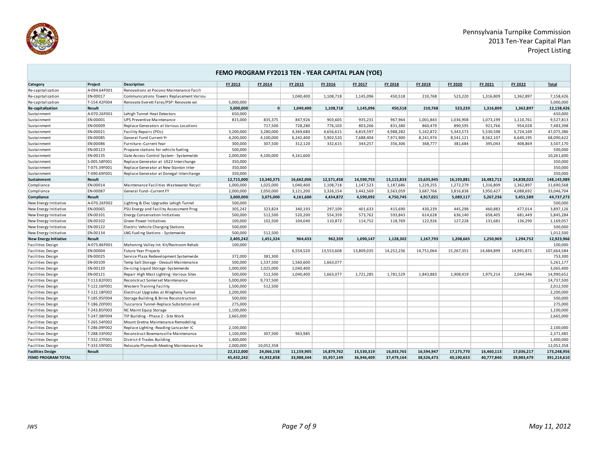

|                              |               |                                          | FEMO PROGRAM FY2013 TEN - YEAR CAPITAL PLAN (YOE) |            |            |            |            |            |            |            |            |            |              |
|------------------------------|---------------|------------------------------------------|---------------------------------------------------|------------|------------|------------|------------|------------|------------|------------|------------|------------|--------------|
| Category                     | Project       | <b>Description</b>                       | FY 2013                                           | FY 2014    | FY 2015    | FY 2016    | FY 2017    | FY 2018    | FY 2019    | FY 2020    | FY 2021    | FY 2022    | <b>Total</b> |
| Re-capitalization            | A-094.64F001  | Renovations at Pocono Maintenance Facili |                                                   |            |            |            |            |            |            |            |            |            |              |
| Re-capitalization            | EN-00017      | Communications Towers Replacement Variou |                                                   |            | 1,040,400  | 1,108,718  | 1,145,096  | 450,518    | 210,768    | 523,220    | 1,316,809  | 1,362,897  | 7,158,426    |
| Re-capitalization            | T-154.42F004  | Renovate Everett Fares/PSP: Renovate exi | 5,000,000                                         |            |            |            |            |            |            |            |            |            | 5,000,000    |
| Re-capitalization            | Result        |                                          | 5,000,000                                         | $\Omega$   | 1,040,400  | 1,108,718  | 1,145,096  | 450,518    | 210.768    | 523.220    | 1,316,809  | 1,362,897  | 12,158,426   |
| Sustainment                  | A-070.26F001  | Lehigh Tunnel Heat Detectors             | 650,000                                           |            |            |            |            |            |            |            |            |            | 650,000      |
| Sustainment                  | EN-00001      | <b>UPS Preventive Maintenance</b>        | 815,000                                           | 835,375    | 847,926    | 903,605    | 935,231    | 967,964    | 1,001,843  | 1,036,908  | 1,073,199  | 1,110,761  | 9,527,813    |
| Sustainment                  | EN-00009      | Replace Generators at Various Locations  |                                                   | 717,500    | 728,280    | 776,103    | 803,266    | 831,380    | 860,479    | 890,595    | 921,766    | 954,028    | 7,483,398    |
| Sustainment                  | EN-00021      | Facility Repairs (POs)                   | 3,200,000                                         | 3,280,000  | 4,369,680  | 4,656,615  | 4,819,597  | 4,988,282  | 5,162,872  | 5,343,573  | 5,530,598  | 5,724,169  | 47,075,386   |
| Sustainment                  | EN-00085      | General Fund Current Yr                  | 4,200,000                                         | 4,100,000  | 6,242,400  | 5,902,520  | 7,688,404  | 7,971,900  | 8,241,974  | 8,541,121  | 8,562,107  | 6,640,195  | 68,090,622   |
| Sustainment                  | EN-00086      | Furniture--Current Year                  | 300,000                                           | 307,500    | 312,120    | 332,615    | 344,257    | 356,306    | 368,777    | 381,684    | 395,043    | 408,869    | 3,507,170    |
| Sustainment                  | EN-00123      | Propane stations for vehicle fueling     | 500,000                                           |            |            |            |            |            |            |            |            |            | 500,000      |
| Sustainment                  | EN-00135      | Gate Access Control System - Systemwide  | 2,000,000                                         | 4,100,000  | 4,161,600  |            |            |            |            |            |            |            | 10,261,600   |
| Sustainment                  | S-005.58F001  | Replace Generator at US22 Interchange    | 350,000                                           |            |            |            |            |            |            |            |            |            | 350,000      |
| Sustainment                  | T-075.39F001  | Replace Generator at New Stanton Inter   | 350,000                                           |            |            |            |            |            |            |            |            |            | 350,000      |
| Sustainment                  | T-090.69F001  | Replace Generator at Donegal Interchange | 350,000                                           |            |            |            |            |            |            |            |            |            | 350,000      |
| Sustainment                  | <b>Result</b> |                                          | 12,715,000                                        | 13,340,375 | 16,662,006 | 12,571,458 | 14,590,755 | 15,115,833 | 15,635,945 | 16,193,881 | 16,482,713 | 14,838,023 | 148,145,989  |
| Compliance                   | EN-00014      | Maintenance Facilities Wastewater Recycl | 1,000,000                                         | 1,025,000  | 1,040,400  | 1,108,718  | 1,147,523  | 1,187,686  | 1,229,255  | 1,272,279  | 1,316,809  | 1,362,897  | 11,690,568   |
| Compliance                   | EN-00087      | General Fund--Current FY                 | 2,000,000                                         | 2,050,000  | 3,121,200  | 3,326,154  | 3,442,569  | 3,563,059  | 3,687,766  | 3,816,838  | 3,950,427  | 4,088,692  | 33,046,704   |
| Compliance                   | Result        |                                          | 3,000,000                                         | 3,075,000  | 4,161,600  | 4,434,872  | 4,590,092  | 4,750,745  | 4,917,021  | 5,089,117  | 5,267,236  | 5,451,589  | 44,737,273   |
| New Energy Initiative        | A-070.26F002  | Lighting & Elec Upgrades Lehigh Tunnel   | 500,000                                           |            |            |            |            |            |            |            |            |            | 500,000      |
| New Energy Initiative        | EN-00065      | PSU Energy and Facility Assessment Prog  | 305,242                                           | 323.824    | 340,193    | 297,109    | 401,633    | 415,690    | 430,239    | 445,298    | 460,883    | 477,014    | 3,897,126    |
| New Energy Initiative        | EN-00101      | <b>Energy Conservation Initiatives</b>   | 500,000                                           | 512,500    | 520,200    | 554,359    | 573,762    | 593,843    | 614,628    | 636,140    | 658,405    | 681,449    | 5,845,284    |
| New Energy Initiative        | EN-00102      | Green Power Initiatives                  | 100,000                                           | 102.500    | 104.040    | 110,872    | 114,752    | 118,769    | 122.926    | 127.228    | 131,681    | 136,290    | 1,169,057    |
| New Energy Initiative        | EN-00122      | Electric Vehicle Charging Stations       | 500,000                                           |            |            |            |            |            |            |            |            |            | 500,000      |
| New Energy Initiative        | EN-00134      | LNG Fueling Stations - Systemwide        | 500,000                                           | 512,500    |            |            |            |            |            |            |            |            | 1,012,500    |
| <b>New Energy Initiative</b> | <b>Result</b> |                                          | 2,405,242                                         | 1.451.324  | 964.433    | 962.339    | 1.090.147  | 1.128.302  | 1.167.793  | 1.208.665  | 1.250.969  | 1,294,752  | 12,923,966   |
| Facilities Design            | A-075.86F001  | Mahoning Valley Int. Kit/Restroom Rehab  | 100,000                                           |            |            |            |            |            |            |            |            |            | 100,000      |
| <b>Facilities Design</b>     | EN-00004      | <b>Future Year Projects</b>              |                                                   |            | 6,554,520  | 13,553,608 | 13,809,035 | 14,252,236 | 14,751,064 | 15,267,351 | 14,484,899 | 14,991,871 | 107,664,584  |
| <b>Facilities Design</b>     | EN-00025      | Service Plaza Redevelopment Systemwide   | 372,000                                           | 381.300    |            |            |            |            |            |            |            |            | 753,300      |
| Facilities Design            | EN-00109      | Temp Salt Storage - Devault Maintenance  | 500,000                                           | 1,537,500  | 1,560,600  | 1,663,077  |            |            |            |            |            |            | 5,261,177    |
| <b>Facilities Design</b>     | EN-00120      | De-icing Liquid Storage -Systemwide      | 1,000,000                                         | 1,025,000  | 1,040,400  |            |            |            |            |            |            |            | 3,065,400    |
| <b>Facilities Design</b>     | EN-00121      | Repair High Mast Lighting -Various Sites | 500,000                                           | 512,500    | 1,040,400  | 1,663,077  | 1,721,285  | 1,781,529  | 1,843,883  | 1,908,419  | 1,975,214  | 2,044,346  | 14,990,652   |
| <b>Facilities Design</b>     | T-113.82F001  | Reconstruct Somerset Maintenance         | 5,000,000                                         | 9,737,500  |            |            |            |            |            |            |            |            | 14,737,500   |
| <b>Facilities Design</b>     | T-122.16F001  | Western Training Facility                | 1,500,000                                         | 512.500    |            |            |            |            |            |            |            |            | 2,012,500    |
| <b>Facilities Design</b>     | T-122.18F002  | Electrical Upgrades at Allegheny Tunnel  | 2,200,000                                         |            |            |            |            |            |            |            |            |            | 2,200,000    |
| Facilities Design            | T-185.95F004  | Storage Building & Brine Reconstruction  | 500,000                                           |            |            |            |            |            |            |            |            |            | 500,000      |
| <b>Facilities Design</b>     | T-186.20F001  | Tuscarora Tunnel-Replace Substation and  | 275,000                                           |            |            |            |            |            |            |            |            |            | 275,000      |
| Facilities Design            | T-243.85F003  | NC Maint Equip Storage                   | 1,100,000                                         |            |            |            |            |            |            |            |            |            | 1,100,000    |
| <b>Facilities Design</b>     | T-247.38F004  | TIP Building - Phase 2 - Site Work       | 2,665,000                                         |            |            |            |            |            |            |            |            |            | 2,665,000    |
| Facilities Design            | T-265.54F002  | Mount Gretna Maintenance Remodeling      |                                                   |            |            |            |            |            |            |            |            |            |              |
| <b>Facilities Design</b>     | T-286.09F002  | Replace Lighting -Reading-Lancaster IC   | 2,100,000                                         |            |            |            |            |            |            |            |            |            | 2,100,000    |
| Facilities Design            | T-288.33F002  | Reconstruct Bowmansville Maintenance     | 1,100,000                                         | 307,500    | 963,985    |            |            |            |            |            |            |            | 2,371,485    |
| <b>Facilities Design</b>     | T-332.37F001  | District 4 Trades Building               | 1,400,000                                         |            |            |            |            |            |            |            |            |            | 1,400,000    |
| Facilities Design            | T-333.59F001  | Relocate Plymouth Meeting Maintenance Se | 2,000,000                                         | 10,052,358 |            |            |            |            |            |            |            |            | 12,052,358   |
| <b>Facilities Design</b>     | Result        |                                          | 22,312,000                                        | 24,066,158 | 11,159,905 | 16,879,762 | 15,530,319 | 16,033,765 | 16,594,947 | 17,175,770 | 16,460,113 | 17,036,217 | 173,248,956  |
| <b>FEMO PROGRAM TOTAL</b>    |               |                                          | 45.432.242                                        | 41.932.858 | 33.988.344 | 35.957.149 | 36.946.409 | 37.479.164 | 38.526.473 | 40.190.653 | 40.777.840 | 39.983.479 | 391,214,610  |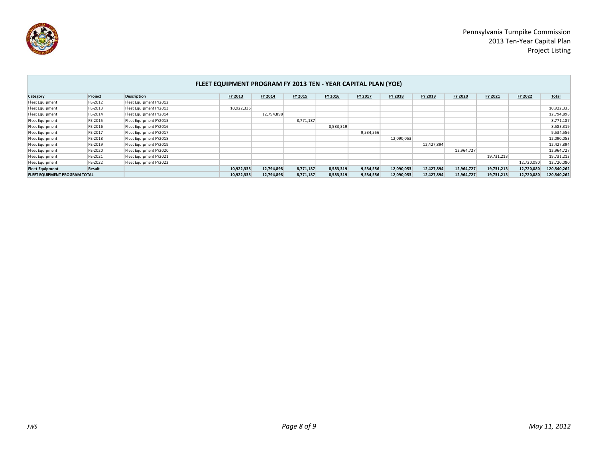

|                                      | FLEET EQUIPMENT PROGRAM FY 2013 TEN - YEAR CAPITAL PLAN (YOE) |                        |            |                |           |                |           |                |            |                |            |            |             |
|--------------------------------------|---------------------------------------------------------------|------------------------|------------|----------------|-----------|----------------|-----------|----------------|------------|----------------|------------|------------|-------------|
| Category                             | Project                                                       | <b>Description</b>     | FY 2013    | <b>FY 2014</b> | FY 2015   | <b>FY 2016</b> | FY 2017   | <b>FY 2018</b> | FY 2019    | <b>FY 2020</b> | FY 2021    | FY 2022    | Total       |
| Fleet Equipment                      | FE-2012                                                       | Fleet Equipment FY2012 |            |                |           |                |           |                |            |                |            |            |             |
| Fleet Equipment                      | FE-2013                                                       | Fleet Equipment FY2013 | 10,922,335 |                |           |                |           |                |            |                |            |            | 10,922,335  |
| Fleet Equipment                      | FE-2014                                                       | Fleet Equipment FY2014 |            | 12,794,898     |           |                |           |                |            |                |            |            | 12,794,898  |
| Fleet Equipment                      | FE-2015                                                       | Fleet Equipment FY2015 |            |                | 8,771,187 |                |           |                |            |                |            |            | 8,771,187   |
| Fleet Equipment                      | FE-2016                                                       | Fleet Equipment FY2016 |            |                |           | 8,583,319      |           |                |            |                |            |            | 8,583,319   |
| Fleet Equipment                      | FE-2017                                                       | Fleet Equipment FY2017 |            |                |           |                | 9,534,556 |                |            |                |            |            | 9,534,556   |
| Fleet Equipment                      | FE-2018                                                       | Fleet Equipment FY2018 |            |                |           |                |           | 12,090,053     |            |                |            |            | 12,090,053  |
| Fleet Equipment                      | FE-2019                                                       | Fleet Equipment FY2019 |            |                |           |                |           |                | 12,427,894 |                |            |            | 12,427,894  |
| Fleet Equipment                      | FE-2020                                                       | Fleet Equipment FY2020 |            |                |           |                |           |                |            | 12,964,727     |            |            | 12,964,727  |
| Fleet Equipment                      | FE-2021                                                       | Fleet Equipment FY2021 |            |                |           |                |           |                |            |                | 19,731,213 |            | 19,731,213  |
| Fleet Equipment                      | FE-2022                                                       | Fleet Equipment FY2022 |            |                |           |                |           |                |            |                |            | 12,720,080 | 12,720,080  |
| <b>Fleet Equipment</b>               | Result                                                        |                        | 10,922,335 | 12,794,898     | 8,771,187 | 8,583,319      | 9,534,556 | 12,090,053     | 12,427,894 | 12,964,727     | 19,731,213 | 12,720,080 | 120,540,262 |
| <b>FLEET EQUIPMENT PROGRAM TOTAL</b> |                                                               |                        | 10,922,335 | 12,794,898     | 8,771,187 | 8,583,319      | 9,534,556 | 12,090,053     | 12,427,894 | 12,964,727     | 19,731,213 | 12,720,080 | 120,540,262 |